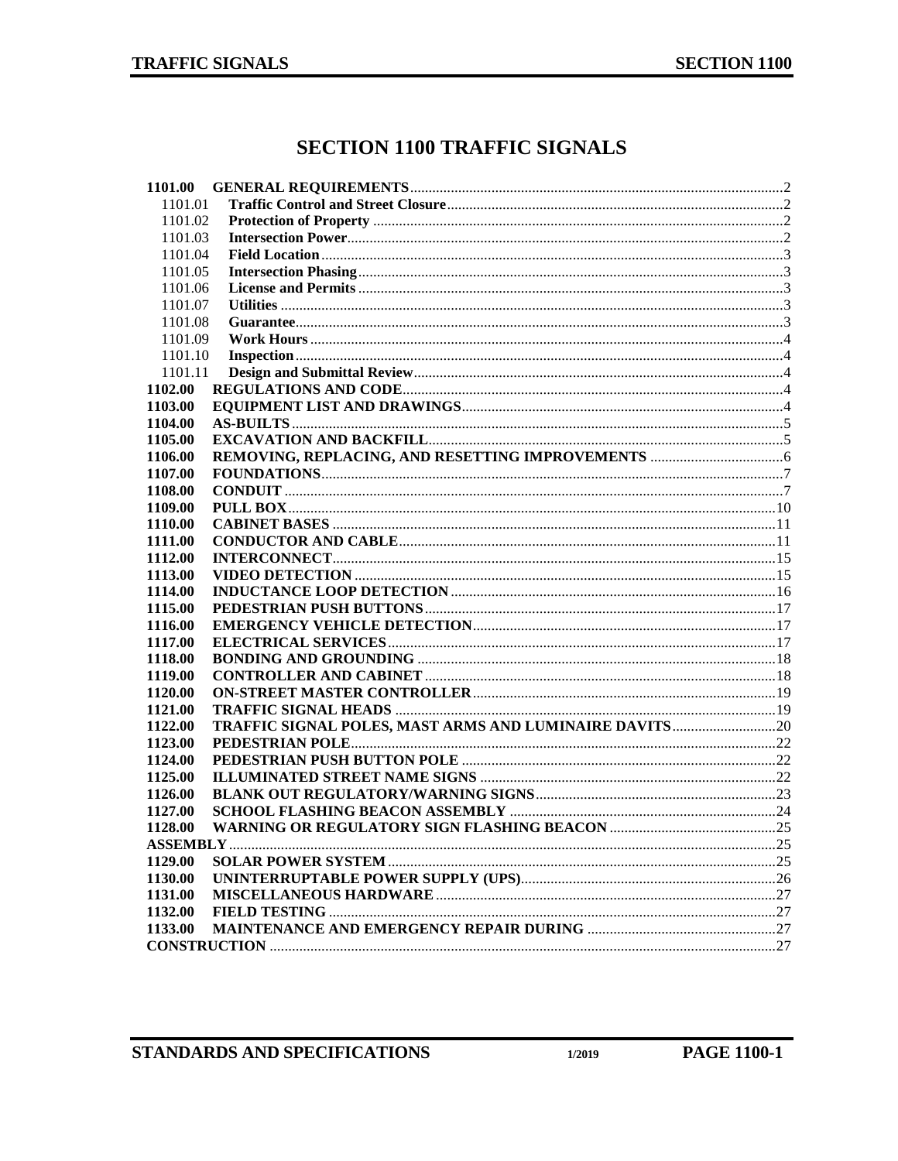# **SECTION 1100 TRAFFIC SIGNALS**

| 1101.00 |  |
|---------|--|
| 1101.01 |  |
| 1101.02 |  |
| 1101.03 |  |
| 1101.04 |  |
| 1101.05 |  |
| 1101.06 |  |
| 1101.07 |  |
| 1101.08 |  |
| 1101.09 |  |
| 1101.10 |  |
| 1101.11 |  |
| 1102.00 |  |
| 1103.00 |  |
| 1104.00 |  |
| 1105.00 |  |
| 1106.00 |  |
| 1107.00 |  |
| 1108.00 |  |
| 1109.00 |  |
| 1110.00 |  |
| 1111.00 |  |
| 1112.00 |  |
| 1113.00 |  |
| 1114.00 |  |
| 1115.00 |  |
| 1116.00 |  |
| 1117.00 |  |
| 1118.00 |  |
| 1119.00 |  |
| 1120.00 |  |
| 1121.00 |  |
| 1122.00 |  |
| 1123.00 |  |
| 1124.00 |  |
| 1125.00 |  |
| 1126.00 |  |
| 1127.00 |  |
| 1128.00 |  |
|         |  |
| 1129.00 |  |
| 1130.00 |  |
| 1131.00 |  |
| 1132.00 |  |
| 1133.00 |  |
|         |  |
|         |  |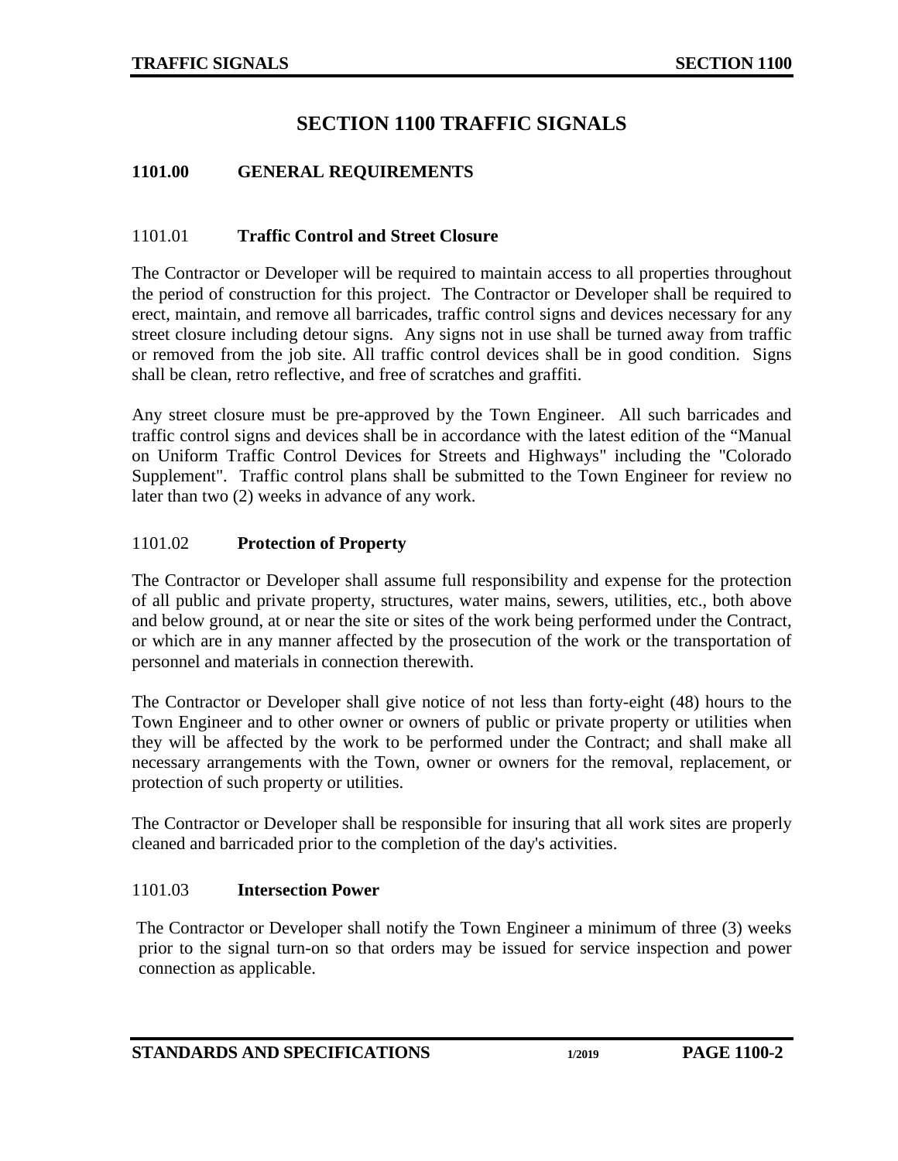# **SECTION 1100 TRAFFIC SIGNALS**

### <span id="page-1-0"></span>**1101.00 GENERAL REQUIREMENTS**

#### <span id="page-1-1"></span>1101.01 **Traffic Control and Street Closure**

The Contractor or Developer will be required to maintain access to all properties throughout the period of construction for this project. The Contractor or Developer shall be required to erect, maintain, and remove all barricades, traffic control signs and devices necessary for any street closure including detour signs. Any signs not in use shall be turned away from traffic or removed from the job site. All traffic control devices shall be in good condition. Signs shall be clean, retro reflective, and free of scratches and graffiti.

Any street closure must be pre-approved by the Town Engineer. All such barricades and traffic control signs and devices shall be in accordance with the latest edition of the "Manual on Uniform Traffic Control Devices for Streets and Highways" including the "Colorado Supplement". Traffic control plans shall be submitted to the Town Engineer for review no later than two (2) weeks in advance of any work.

#### <span id="page-1-2"></span>1101.02 **Protection of Property**

The Contractor or Developer shall assume full responsibility and expense for the protection of all public and private property, structures, water mains, sewers, utilities, etc., both above and below ground, at or near the site or sites of the work being performed under the Contract, or which are in any manner affected by the prosecution of the work or the transportation of personnel and materials in connection therewith.

The Contractor or Developer shall give notice of not less than forty-eight (48) hours to the Town Engineer and to other owner or owners of public or private property or utilities when they will be affected by the work to be performed under the Contract; and shall make all necessary arrangements with the Town, owner or owners for the removal, replacement, or protection of such property or utilities.

The Contractor or Developer shall be responsible for insuring that all work sites are properly cleaned and barricaded prior to the completion of the day's activities.

#### <span id="page-1-3"></span>1101.03 **Intersection Power**

The Contractor or Developer shall notify the Town Engineer a minimum of three (3) weeks prior to the signal turn-on so that orders may be issued for service inspection and power connection as applicable.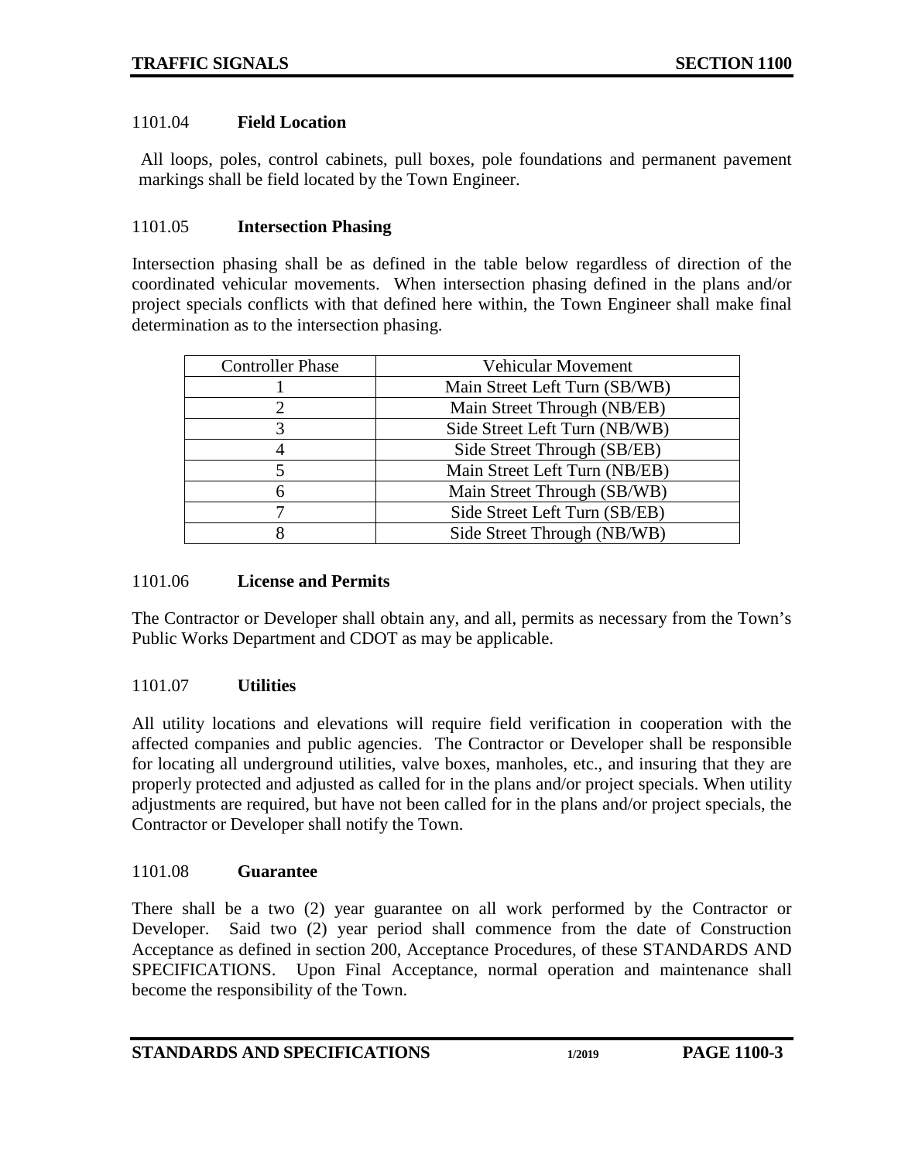### <span id="page-2-0"></span>1101.04 **Field Location**

 All loops, poles, control cabinets, pull boxes, pole foundations and permanent pavement markings shall be field located by the Town Engineer.

#### <span id="page-2-1"></span>1101.05 **Intersection Phasing**

Intersection phasing shall be as defined in the table below regardless of direction of the coordinated vehicular movements. When intersection phasing defined in the plans and/or project specials conflicts with that defined here within, the Town Engineer shall make final determination as to the intersection phasing.

| <b>Controller Phase</b> | <b>Vehicular Movement</b>     |
|-------------------------|-------------------------------|
|                         | Main Street Left Turn (SB/WB) |
|                         | Main Street Through (NB/EB)   |
|                         | Side Street Left Turn (NB/WB) |
|                         | Side Street Through (SB/EB)   |
|                         | Main Street Left Turn (NB/EB) |
|                         | Main Street Through (SB/WB)   |
|                         | Side Street Left Turn (SB/EB) |
|                         | Side Street Through (NB/WB)   |

#### <span id="page-2-2"></span>1101.06 **License and Permits**

The Contractor or Developer shall obtain any, and all, permits as necessary from the Town's Public Works Department and CDOT as may be applicable.

### <span id="page-2-3"></span>1101.07 **Utilities**

All utility locations and elevations will require field verification in cooperation with the affected companies and public agencies. The Contractor or Developer shall be responsible for locating all underground utilities, valve boxes, manholes, etc., and insuring that they are properly protected and adjusted as called for in the plans and/or project specials. When utility adjustments are required, but have not been called for in the plans and/or project specials, the Contractor or Developer shall notify the Town.

#### <span id="page-2-4"></span>1101.08 **Guarantee**

There shall be a two (2) year guarantee on all work performed by the Contractor or Developer. Said two (2) year period shall commence from the date of Construction Acceptance as defined in section 200, Acceptance Procedures, of these STANDARDS AND SPECIFICATIONS. Upon Final Acceptance, normal operation and maintenance shall become the responsibility of the Town.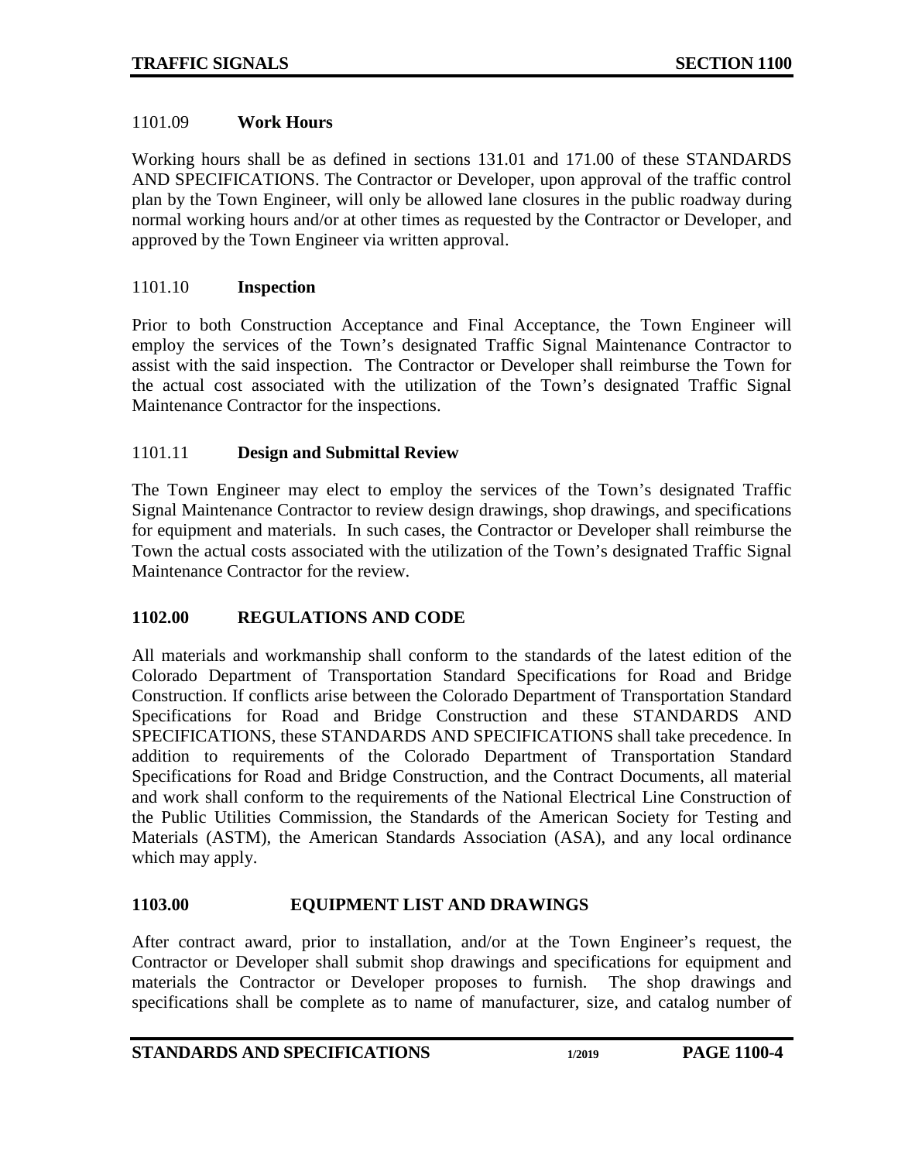#### <span id="page-3-0"></span>1101.09 **Work Hours**

Working hours shall be as defined in sections 131.01 and 171.00 of these STANDARDS AND SPECIFICATIONS. The Contractor or Developer, upon approval of the traffic control plan by the Town Engineer, will only be allowed lane closures in the public roadway during normal working hours and/or at other times as requested by the Contractor or Developer, and approved by the Town Engineer via written approval.

#### <span id="page-3-1"></span>1101.10 **Inspection**

Prior to both Construction Acceptance and Final Acceptance, the Town Engineer will employ the services of the Town's designated Traffic Signal Maintenance Contractor to assist with the said inspection. The Contractor or Developer shall reimburse the Town for the actual cost associated with the utilization of the Town's designated Traffic Signal Maintenance Contractor for the inspections.

### <span id="page-3-2"></span>1101.11 **Design and Submittal Review**

The Town Engineer may elect to employ the services of the Town's designated Traffic Signal Maintenance Contractor to review design drawings, shop drawings, and specifications for equipment and materials. In such cases, the Contractor or Developer shall reimburse the Town the actual costs associated with the utilization of the Town's designated Traffic Signal Maintenance Contractor for the review.

### <span id="page-3-3"></span>**1102.00 REGULATIONS AND CODE**

All materials and workmanship shall conform to the standards of the latest edition of the Colorado Department of Transportation Standard Specifications for Road and Bridge Construction. If conflicts arise between the Colorado Department of Transportation Standard Specifications for Road and Bridge Construction and these STANDARDS AND SPECIFICATIONS, these STANDARDS AND SPECIFICATIONS shall take precedence. In addition to requirements of the Colorado Department of Transportation Standard Specifications for Road and Bridge Construction, and the Contract Documents, all material and work shall conform to the requirements of the National Electrical Line Construction of the Public Utilities Commission, the Standards of the American Society for Testing and Materials (ASTM), the American Standards Association (ASA), and any local ordinance which may apply.

### <span id="page-3-4"></span>**1103.00 EQUIPMENT LIST AND DRAWINGS**

After contract award, prior to installation, and/or at the Town Engineer's request, the Contractor or Developer shall submit shop drawings and specifications for equipment and materials the Contractor or Developer proposes to furnish. The shop drawings and specifications shall be complete as to name of manufacturer, size, and catalog number of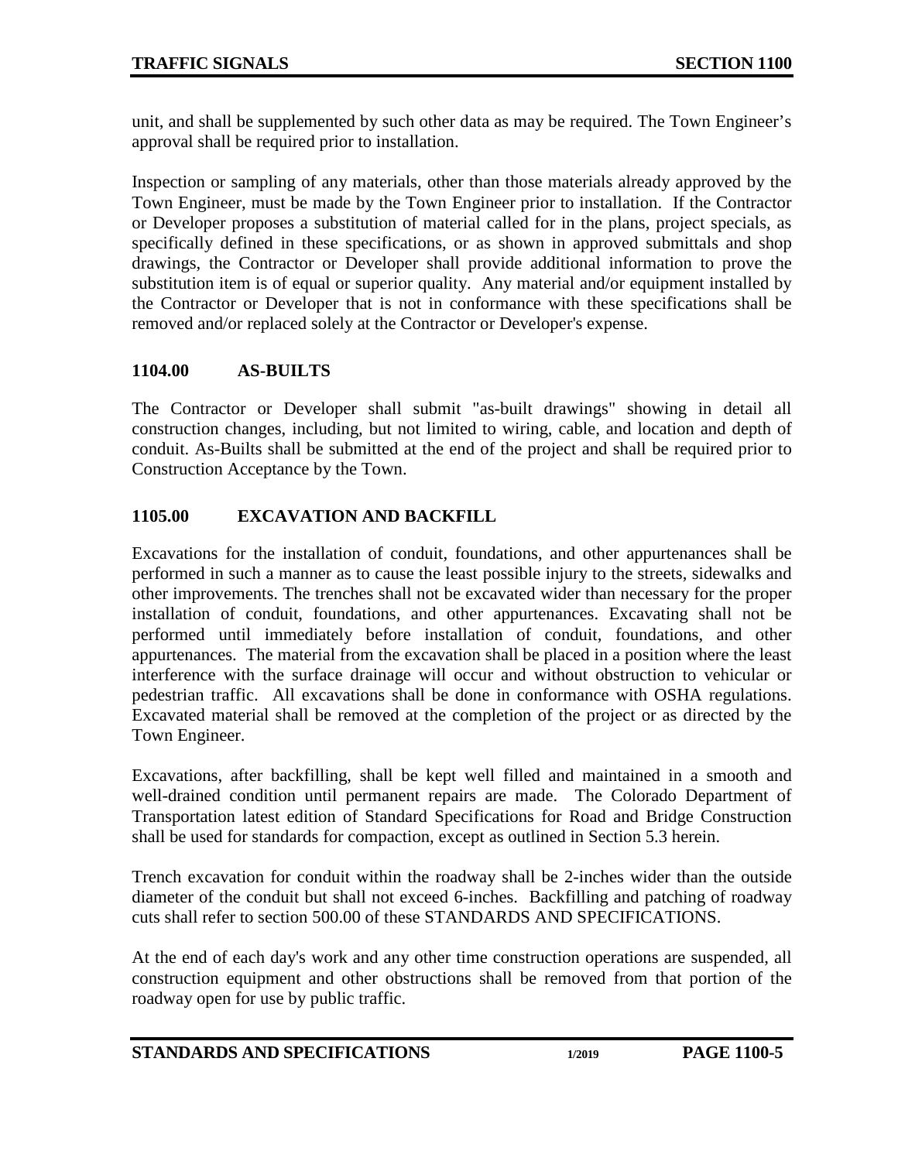unit, and shall be supplemented by such other data as may be required. The Town Engineer's approval shall be required prior to installation.

Inspection or sampling of any materials, other than those materials already approved by the Town Engineer, must be made by the Town Engineer prior to installation. If the Contractor or Developer proposes a substitution of material called for in the plans, project specials, as specifically defined in these specifications, or as shown in approved submittals and shop drawings, the Contractor or Developer shall provide additional information to prove the substitution item is of equal or superior quality. Any material and/or equipment installed by the Contractor or Developer that is not in conformance with these specifications shall be removed and/or replaced solely at the Contractor or Developer's expense.

### <span id="page-4-0"></span>**1104.00 AS-BUILTS**

The Contractor or Developer shall submit "as-built drawings" showing in detail all construction changes, including, but not limited to wiring, cable, and location and depth of conduit. As-Builts shall be submitted at the end of the project and shall be required prior to Construction Acceptance by the Town.

# <span id="page-4-1"></span>**1105.00 EXCAVATION AND BACKFILL**

Excavations for the installation of conduit, foundations, and other appurtenances shall be performed in such a manner as to cause the least possible injury to the streets, sidewalks and other improvements. The trenches shall not be excavated wider than necessary for the proper installation of conduit, foundations, and other appurtenances. Excavating shall not be performed until immediately before installation of conduit, foundations, and other appurtenances. The material from the excavation shall be placed in a position where the least interference with the surface drainage will occur and without obstruction to vehicular or pedestrian traffic. All excavations shall be done in conformance with OSHA regulations. Excavated material shall be removed at the completion of the project or as directed by the Town Engineer.

Excavations, after backfilling, shall be kept well filled and maintained in a smooth and well-drained condition until permanent repairs are made. The Colorado Department of Transportation latest edition of Standard Specifications for Road and Bridge Construction shall be used for standards for compaction, except as outlined in Section 5.3 herein.

Trench excavation for conduit within the roadway shall be 2-inches wider than the outside diameter of the conduit but shall not exceed 6-inches. Backfilling and patching of roadway cuts shall refer to section 500.00 of these STANDARDS AND SPECIFICATIONS.

At the end of each day's work and any other time construction operations are suspended, all construction equipment and other obstructions shall be removed from that portion of the roadway open for use by public traffic.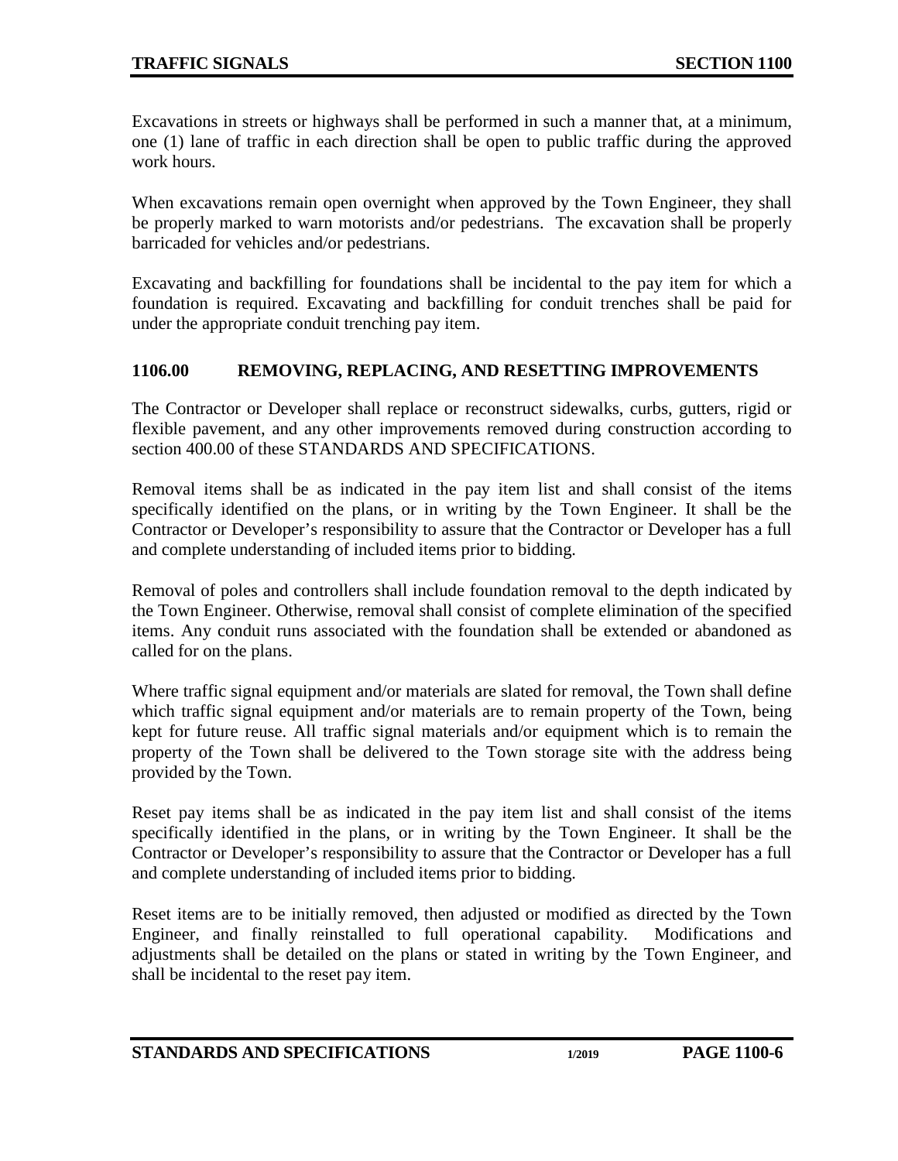Excavations in streets or highways shall be performed in such a manner that, at a minimum, one (1) lane of traffic in each direction shall be open to public traffic during the approved work hours.

When excavations remain open overnight when approved by the Town Engineer, they shall be properly marked to warn motorists and/or pedestrians. The excavation shall be properly barricaded for vehicles and/or pedestrians.

Excavating and backfilling for foundations shall be incidental to the pay item for which a foundation is required. Excavating and backfilling for conduit trenches shall be paid for under the appropriate conduit trenching pay item.

## <span id="page-5-0"></span>**1106.00 REMOVING, REPLACING, AND RESETTING IMPROVEMENTS**

The Contractor or Developer shall replace or reconstruct sidewalks, curbs, gutters, rigid or flexible pavement, and any other improvements removed during construction according to section 400.00 of these STANDARDS AND SPECIFICATIONS.

Removal items shall be as indicated in the pay item list and shall consist of the items specifically identified on the plans, or in writing by the Town Engineer. It shall be the Contractor or Developer's responsibility to assure that the Contractor or Developer has a full and complete understanding of included items prior to bidding.

Removal of poles and controllers shall include foundation removal to the depth indicated by the Town Engineer. Otherwise, removal shall consist of complete elimination of the specified items. Any conduit runs associated with the foundation shall be extended or abandoned as called for on the plans.

Where traffic signal equipment and/or materials are slated for removal, the Town shall define which traffic signal equipment and/or materials are to remain property of the Town, being kept for future reuse. All traffic signal materials and/or equipment which is to remain the property of the Town shall be delivered to the Town storage site with the address being provided by the Town.

Reset pay items shall be as indicated in the pay item list and shall consist of the items specifically identified in the plans, or in writing by the Town Engineer. It shall be the Contractor or Developer's responsibility to assure that the Contractor or Developer has a full and complete understanding of included items prior to bidding.

Reset items are to be initially removed, then adjusted or modified as directed by the Town Engineer, and finally reinstalled to full operational capability. Modifications and adjustments shall be detailed on the plans or stated in writing by the Town Engineer, and shall be incidental to the reset pay item.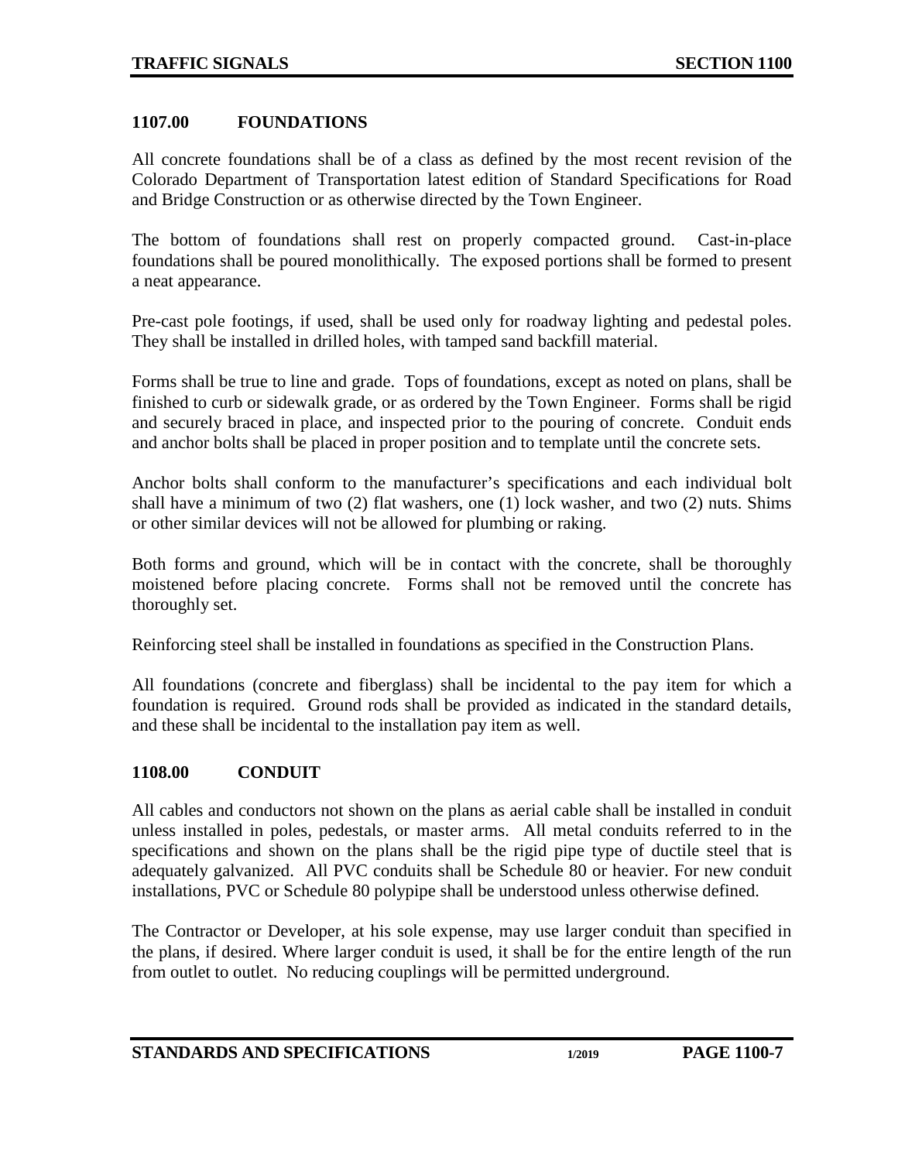#### <span id="page-6-0"></span>**1107.00 FOUNDATIONS**

All concrete foundations shall be of a class as defined by the most recent revision of the Colorado Department of Transportation latest edition of Standard Specifications for Road and Bridge Construction or as otherwise directed by the Town Engineer.

The bottom of foundations shall rest on properly compacted ground. Cast-in-place foundations shall be poured monolithically. The exposed portions shall be formed to present a neat appearance.

Pre-cast pole footings, if used, shall be used only for roadway lighting and pedestal poles. They shall be installed in drilled holes, with tamped sand backfill material.

Forms shall be true to line and grade. Tops of foundations, except as noted on plans, shall be finished to curb or sidewalk grade, or as ordered by the Town Engineer. Forms shall be rigid and securely braced in place, and inspected prior to the pouring of concrete. Conduit ends and anchor bolts shall be placed in proper position and to template until the concrete sets.

Anchor bolts shall conform to the manufacturer's specifications and each individual bolt shall have a minimum of two (2) flat washers, one (1) lock washer, and two (2) nuts. Shims or other similar devices will not be allowed for plumbing or raking.

Both forms and ground, which will be in contact with the concrete, shall be thoroughly moistened before placing concrete. Forms shall not be removed until the concrete has thoroughly set.

Reinforcing steel shall be installed in foundations as specified in the Construction Plans.

All foundations (concrete and fiberglass) shall be incidental to the pay item for which a foundation is required. Ground rods shall be provided as indicated in the standard details, and these shall be incidental to the installation pay item as well.

### <span id="page-6-1"></span>**1108.00 CONDUIT**

All cables and conductors not shown on the plans as aerial cable shall be installed in conduit unless installed in poles, pedestals, or master arms. All metal conduits referred to in the specifications and shown on the plans shall be the rigid pipe type of ductile steel that is adequately galvanized. All PVC conduits shall be Schedule 80 or heavier. For new conduit installations, PVC or Schedule 80 polypipe shall be understood unless otherwise defined.

The Contractor or Developer, at his sole expense, may use larger conduit than specified in the plans, if desired. Where larger conduit is used, it shall be for the entire length of the run from outlet to outlet. No reducing couplings will be permitted underground.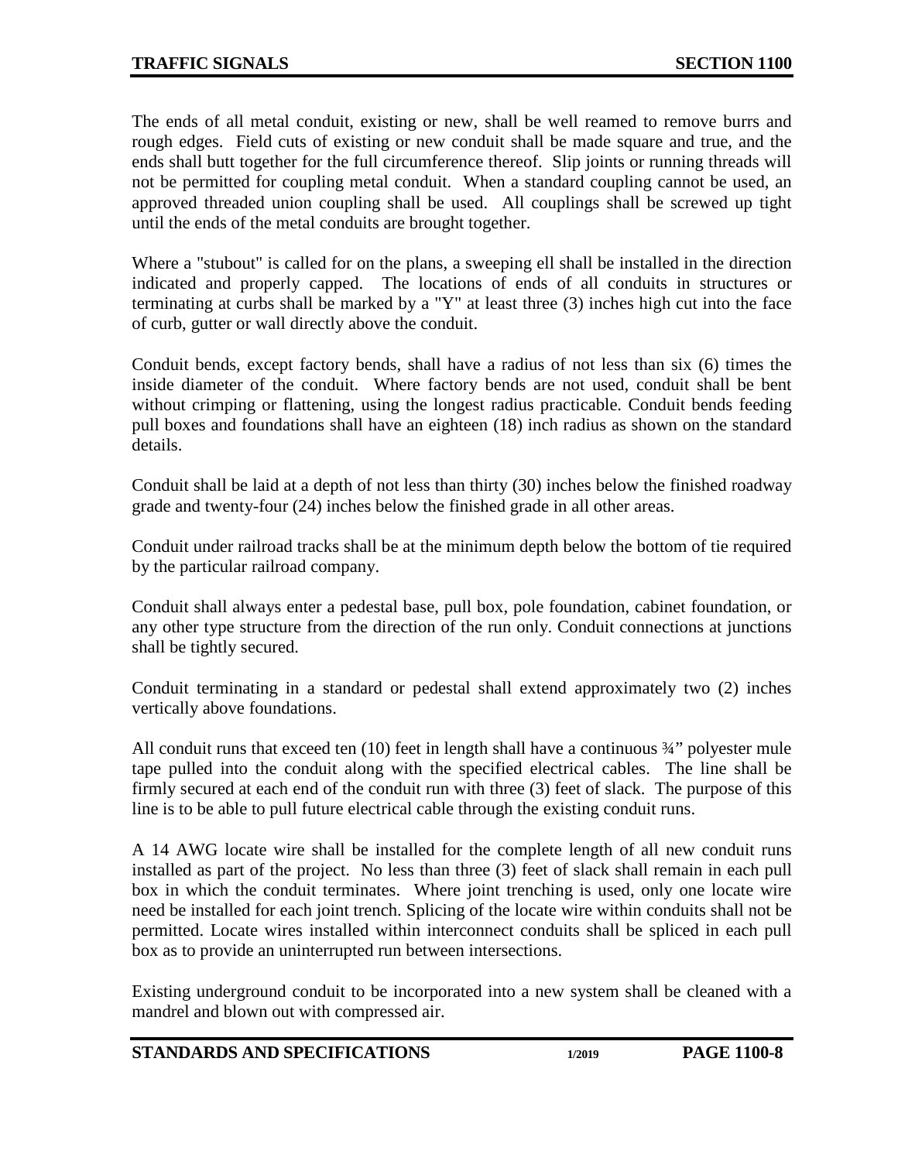The ends of all metal conduit, existing or new, shall be well reamed to remove burrs and rough edges. Field cuts of existing or new conduit shall be made square and true, and the ends shall butt together for the full circumference thereof. Slip joints or running threads will not be permitted for coupling metal conduit. When a standard coupling cannot be used, an approved threaded union coupling shall be used. All couplings shall be screwed up tight until the ends of the metal conduits are brought together.

Where a "stubout" is called for on the plans, a sweeping ell shall be installed in the direction indicated and properly capped. The locations of ends of all conduits in structures or terminating at curbs shall be marked by a "Y" at least three (3) inches high cut into the face of curb, gutter or wall directly above the conduit.

Conduit bends, except factory bends, shall have a radius of not less than six (6) times the inside diameter of the conduit. Where factory bends are not used, conduit shall be bent without crimping or flattening, using the longest radius practicable. Conduit bends feeding pull boxes and foundations shall have an eighteen (18) inch radius as shown on the standard details.

Conduit shall be laid at a depth of not less than thirty (30) inches below the finished roadway grade and twenty-four (24) inches below the finished grade in all other areas.

Conduit under railroad tracks shall be at the minimum depth below the bottom of tie required by the particular railroad company.

Conduit shall always enter a pedestal base, pull box, pole foundation, cabinet foundation, or any other type structure from the direction of the run only. Conduit connections at junctions shall be tightly secured.

Conduit terminating in a standard or pedestal shall extend approximately two (2) inches vertically above foundations.

All conduit runs that exceed ten (10) feet in length shall have a continuous 3/4" polyester mule tape pulled into the conduit along with the specified electrical cables. The line shall be firmly secured at each end of the conduit run with three (3) feet of slack. The purpose of this line is to be able to pull future electrical cable through the existing conduit runs.

A 14 AWG locate wire shall be installed for the complete length of all new conduit runs installed as part of the project. No less than three (3) feet of slack shall remain in each pull box in which the conduit terminates. Where joint trenching is used, only one locate wire need be installed for each joint trench. Splicing of the locate wire within conduits shall not be permitted. Locate wires installed within interconnect conduits shall be spliced in each pull box as to provide an uninterrupted run between intersections.

Existing underground conduit to be incorporated into a new system shall be cleaned with a mandrel and blown out with compressed air.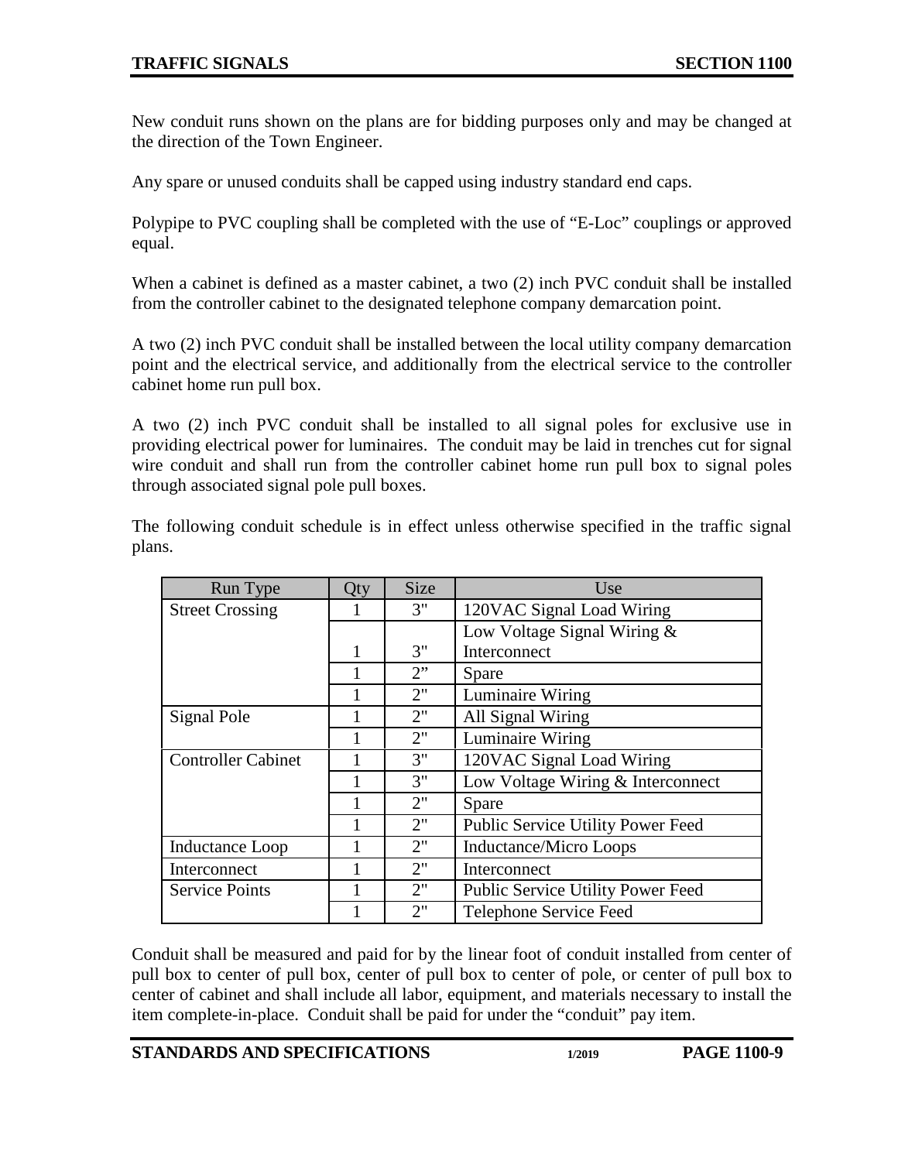New conduit runs shown on the plans are for bidding purposes only and may be changed at the direction of the Town Engineer.

Any spare or unused conduits shall be capped using industry standard end caps.

Polypipe to PVC coupling shall be completed with the use of "E-Loc" couplings or approved equal.

When a cabinet is defined as a master cabinet, a two (2) inch PVC conduit shall be installed from the controller cabinet to the designated telephone company demarcation point.

A two (2) inch PVC conduit shall be installed between the local utility company demarcation point and the electrical service, and additionally from the electrical service to the controller cabinet home run pull box.

A two (2) inch PVC conduit shall be installed to all signal poles for exclusive use in providing electrical power for luminaires. The conduit may be laid in trenches cut for signal wire conduit and shall run from the controller cabinet home run pull box to signal poles through associated signal pole pull boxes.

| Run Type                  | Qty | <b>Size</b> | Use                               |  |
|---------------------------|-----|-------------|-----------------------------------|--|
| <b>Street Crossing</b>    |     | 3"          | 120VAC Signal Load Wiring         |  |
|                           |     |             | Low Voltage Signal Wiring &       |  |
|                           |     | 3"          | Interconnect                      |  |
|                           |     | 2"          | Spare                             |  |
|                           |     | 2"          | Luminaire Wiring                  |  |
| Signal Pole               |     | 2"          | All Signal Wiring                 |  |
|                           |     | 2"          | Luminaire Wiring                  |  |
| <b>Controller Cabinet</b> |     | 3"          | 120VAC Signal Load Wiring         |  |
|                           |     | 3"          | Low Voltage Wiring & Interconnect |  |
|                           |     | 2"          | Spare                             |  |
|                           |     | 2"          | Public Service Utility Power Feed |  |
| Inductance Loop           |     | 2"          | <b>Inductance/Micro Loops</b>     |  |
| Interconnect              |     | 2"          | Interconnect                      |  |
| <b>Service Points</b>     |     | 2"          | Public Service Utility Power Feed |  |
|                           |     | 2"          | Telephone Service Feed            |  |

The following conduit schedule is in effect unless otherwise specified in the traffic signal plans.

Conduit shall be measured and paid for by the linear foot of conduit installed from center of pull box to center of pull box, center of pull box to center of pole, or center of pull box to center of cabinet and shall include all labor, equipment, and materials necessary to install the item complete-in-place. Conduit shall be paid for under the "conduit" pay item.

**STANDARDS AND SPECIFICATIONS 1/2019 PAGE 1100-9**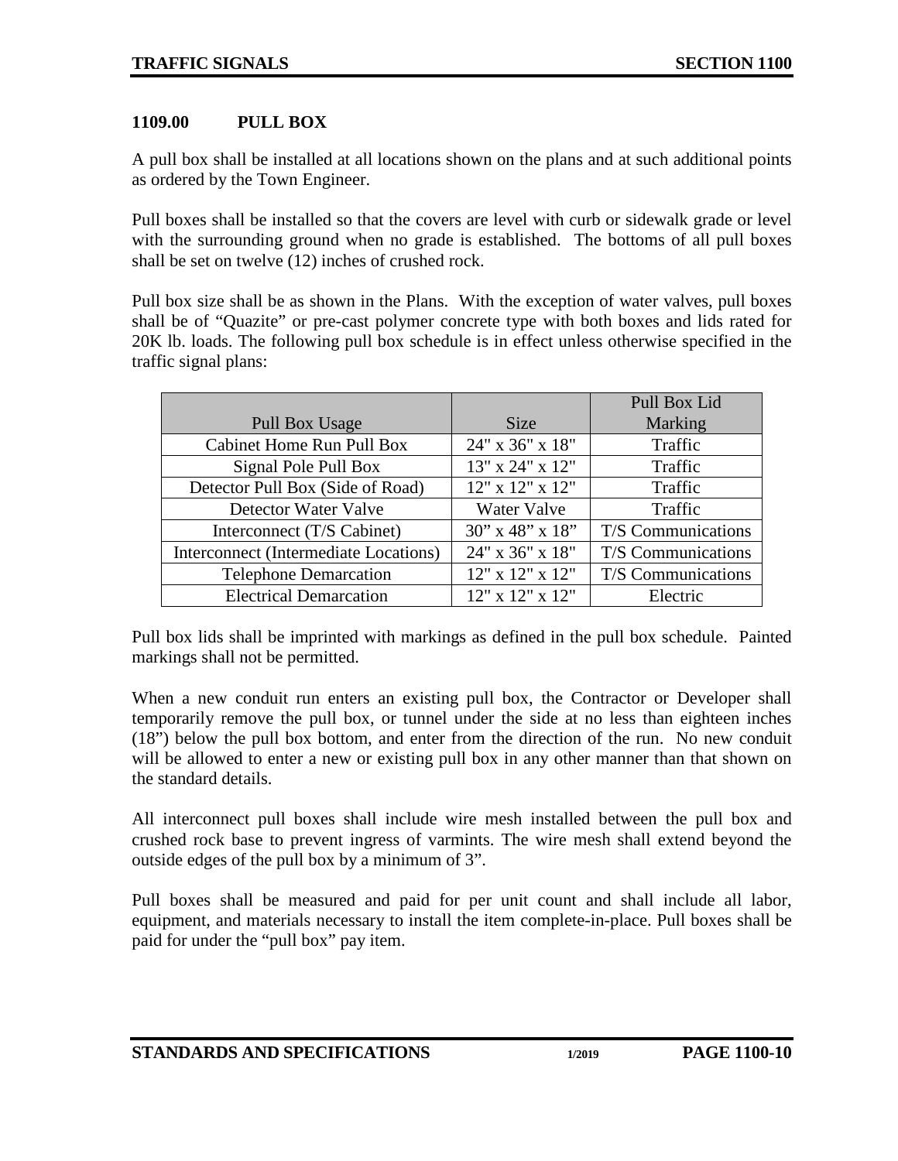### <span id="page-9-0"></span>**1109.00 PULL BOX**

A pull box shall be installed at all locations shown on the plans and at such additional points as ordered by the Town Engineer.

Pull boxes shall be installed so that the covers are level with curb or sidewalk grade or level with the surrounding ground when no grade is established. The bottoms of all pull boxes shall be set on twelve (12) inches of crushed rock.

Pull box size shall be as shown in the Plans. With the exception of water valves, pull boxes shall be of "Quazite" or pre-cast polymer concrete type with both boxes and lids rated for 20K lb. loads. The following pull box schedule is in effect unless otherwise specified in the traffic signal plans:

|                                       |                       | Pull Box Lid       |
|---------------------------------------|-----------------------|--------------------|
| <b>Pull Box Usage</b>                 | <b>Size</b>           | Marking            |
| Cabinet Home Run Pull Box             | 24" x 36" x 18"       | Traffic            |
| Signal Pole Pull Box                  | 13" x 24" x 12"       | Traffic            |
| Detector Pull Box (Side of Road)      | $12"$ x $12"$ x $12"$ | Traffic            |
| Detector Water Valve                  | Water Valve           | Traffic            |
| Interconnect (T/S Cabinet)            | $30''$ x 48" x 18"    | T/S Communications |
| Interconnect (Intermediate Locations) | 24" x 36" x 18"       | T/S Communications |
| <b>Telephone Demarcation</b>          | $12"$ x $12"$ x $12"$ | T/S Communications |
| <b>Electrical Demarcation</b>         | 12" x 12" x 12"       | Electric           |

Pull box lids shall be imprinted with markings as defined in the pull box schedule. Painted markings shall not be permitted.

When a new conduit run enters an existing pull box, the Contractor or Developer shall temporarily remove the pull box, or tunnel under the side at no less than eighteen inches (18") below the pull box bottom, and enter from the direction of the run. No new conduit will be allowed to enter a new or existing pull box in any other manner than that shown on the standard details.

All interconnect pull boxes shall include wire mesh installed between the pull box and crushed rock base to prevent ingress of varmints. The wire mesh shall extend beyond the outside edges of the pull box by a minimum of 3".

Pull boxes shall be measured and paid for per unit count and shall include all labor, equipment, and materials necessary to install the item complete-in-place. Pull boxes shall be paid for under the "pull box" pay item.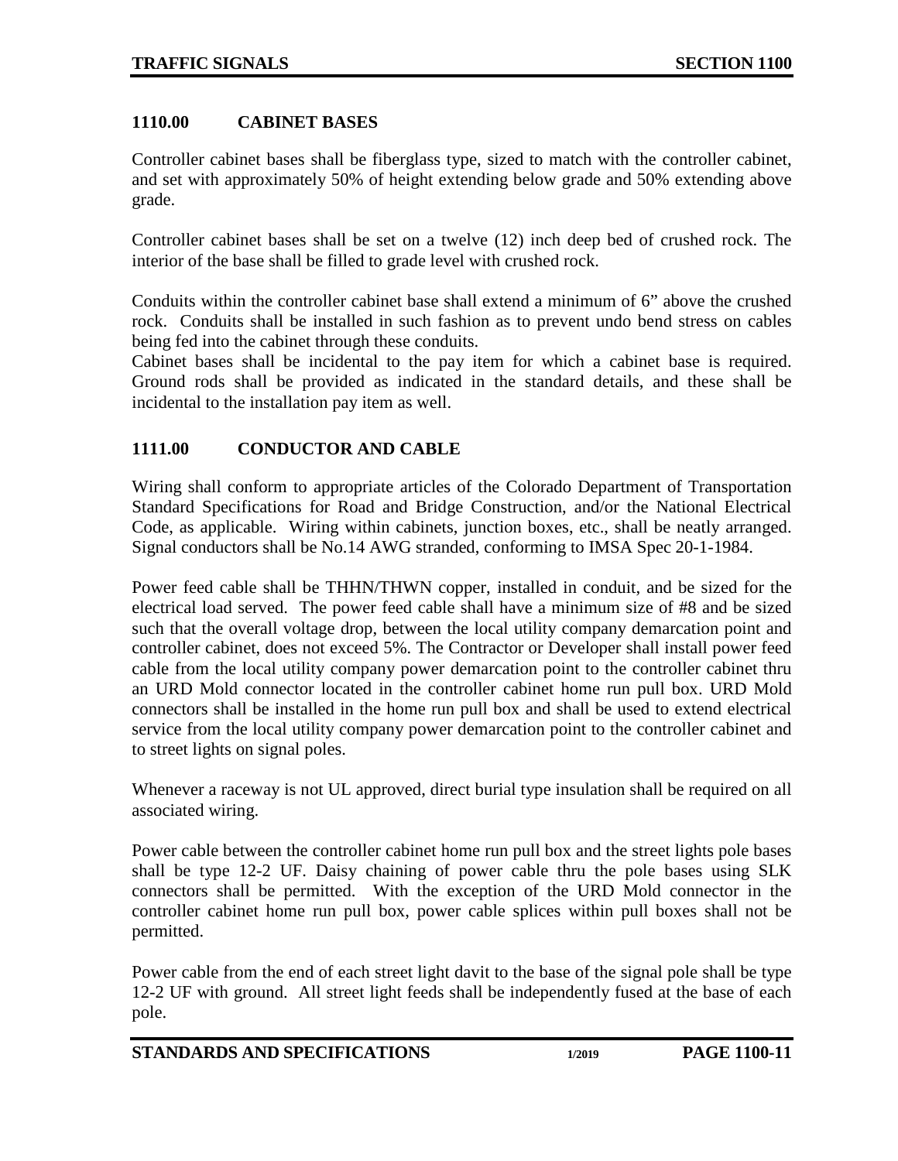### <span id="page-10-0"></span>**1110.00 CABINET BASES**

Controller cabinet bases shall be fiberglass type, sized to match with the controller cabinet, and set with approximately 50% of height extending below grade and 50% extending above grade.

Controller cabinet bases shall be set on a twelve (12) inch deep bed of crushed rock. The interior of the base shall be filled to grade level with crushed rock.

Conduits within the controller cabinet base shall extend a minimum of 6" above the crushed rock. Conduits shall be installed in such fashion as to prevent undo bend stress on cables being fed into the cabinet through these conduits.

Cabinet bases shall be incidental to the pay item for which a cabinet base is required. Ground rods shall be provided as indicated in the standard details, and these shall be incidental to the installation pay item as well.

### <span id="page-10-1"></span>**1111.00 CONDUCTOR AND CABLE**

Wiring shall conform to appropriate articles of the Colorado Department of Transportation Standard Specifications for Road and Bridge Construction, and/or the National Electrical Code, as applicable. Wiring within cabinets, junction boxes, etc., shall be neatly arranged. Signal conductors shall be No.14 AWG stranded, conforming to IMSA Spec 20-1-1984.

Power feed cable shall be THHN/THWN copper, installed in conduit, and be sized for the electrical load served. The power feed cable shall have a minimum size of #8 and be sized such that the overall voltage drop, between the local utility company demarcation point and controller cabinet, does not exceed 5%. The Contractor or Developer shall install power feed cable from the local utility company power demarcation point to the controller cabinet thru an URD Mold connector located in the controller cabinet home run pull box. URD Mold connectors shall be installed in the home run pull box and shall be used to extend electrical service from the local utility company power demarcation point to the controller cabinet and to street lights on signal poles.

Whenever a raceway is not UL approved, direct burial type insulation shall be required on all associated wiring.

Power cable between the controller cabinet home run pull box and the street lights pole bases shall be type 12-2 UF. Daisy chaining of power cable thru the pole bases using SLK connectors shall be permitted. With the exception of the URD Mold connector in the controller cabinet home run pull box, power cable splices within pull boxes shall not be permitted.

Power cable from the end of each street light davit to the base of the signal pole shall be type 12-2 UF with ground. All street light feeds shall be independently fused at the base of each pole.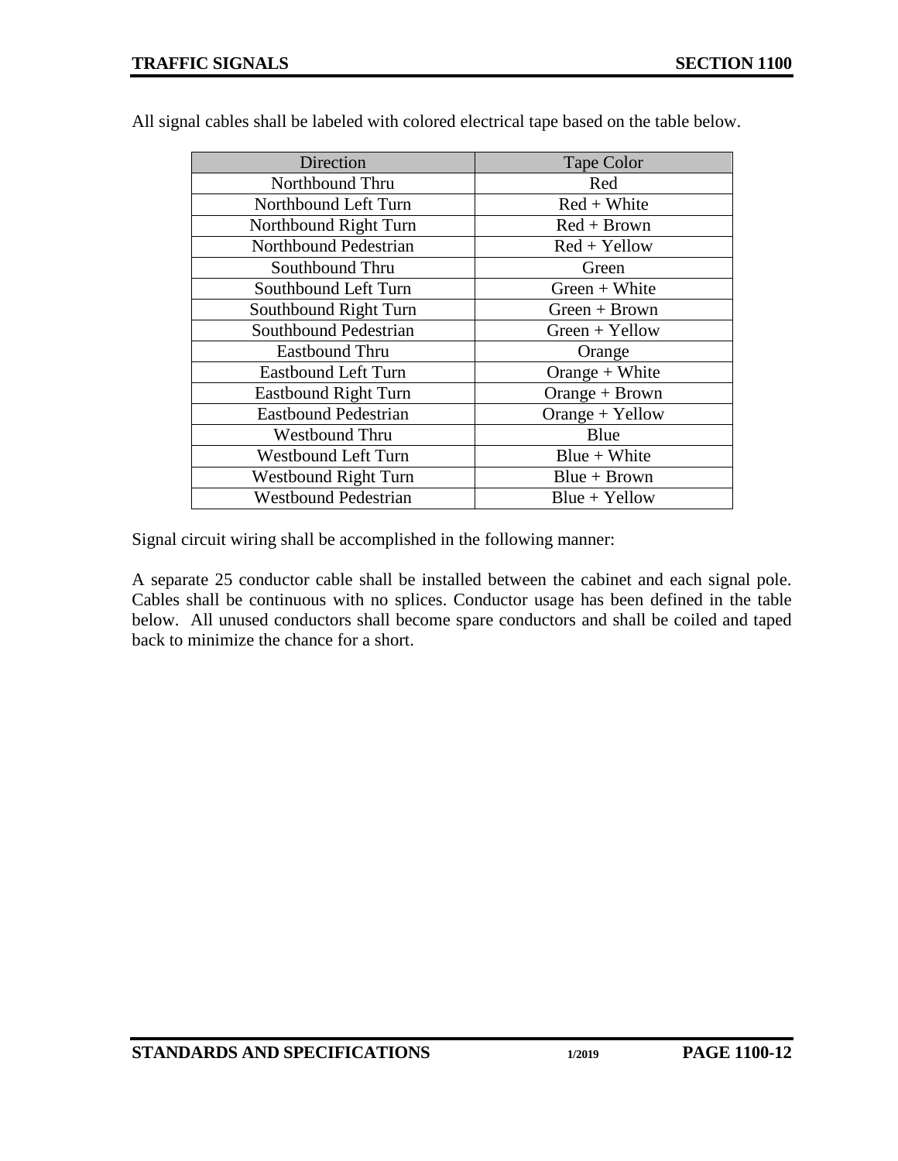| Direction                   | Tape Color       |  |
|-----------------------------|------------------|--|
| Northbound Thru             | Red              |  |
| Northbound Left Turn        | $Red + White$    |  |
| Northbound Right Turn       | $Red + Brown$    |  |
| Northbound Pedestrian       | $Red + Yellow$   |  |
| Southbound Thru             | Green            |  |
| Southbound Left Turn        | $Green + White$  |  |
| Southbound Right Turn       | $Green + Brown$  |  |
| Southbound Pedestrian       | $Green + Yellow$ |  |
| <b>Eastbound Thru</b>       | Orange           |  |
| <b>Eastbound Left Turn</b>  | Orange $+$ White |  |
| <b>Eastbound Right Turn</b> | Orange + Brown   |  |
| <b>Eastbound Pedestrian</b> | Orange + Yellow  |  |
| <b>Westbound Thru</b>       | Blue             |  |
| <b>Westbound Left Turn</b>  | $Blue + White$   |  |
| <b>Westbound Right Turn</b> | $Blue + Brown$   |  |
| <b>Westbound Pedestrian</b> | $Blue + Yellow$  |  |

All signal cables shall be labeled with colored electrical tape based on the table below.

Signal circuit wiring shall be accomplished in the following manner:

A separate 25 conductor cable shall be installed between the cabinet and each signal pole. Cables shall be continuous with no splices. Conductor usage has been defined in the table below. All unused conductors shall become spare conductors and shall be coiled and taped back to minimize the chance for a short.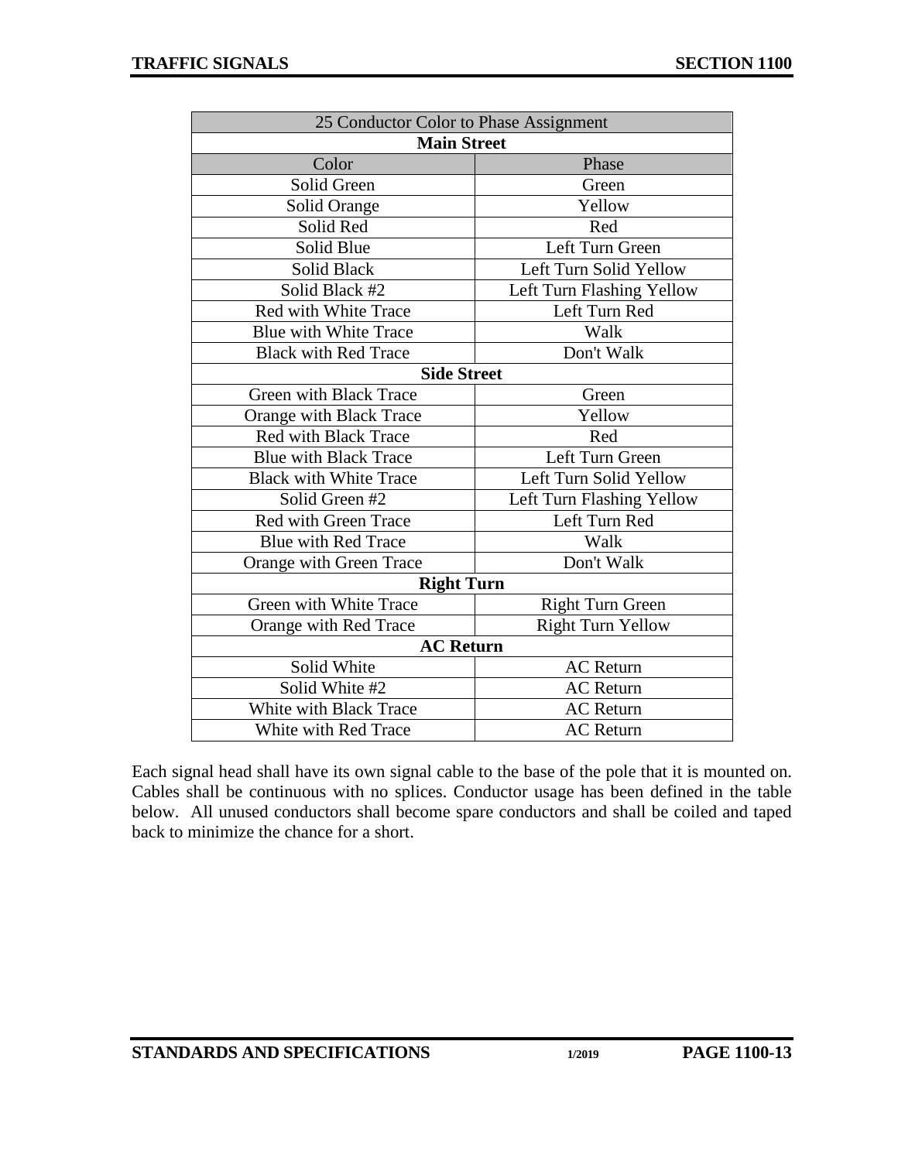| 25 Conductor Color to Phase Assignment |                           |  |  |  |  |
|----------------------------------------|---------------------------|--|--|--|--|
| <b>Main Street</b>                     |                           |  |  |  |  |
| Color                                  | Phase                     |  |  |  |  |
| Solid Green                            | Green                     |  |  |  |  |
| Solid Orange                           | Yellow                    |  |  |  |  |
| Solid Red                              | Red                       |  |  |  |  |
| Solid Blue                             | Left Turn Green           |  |  |  |  |
| Solid Black                            | Left Turn Solid Yellow    |  |  |  |  |
| Solid Black #2                         | Left Turn Flashing Yellow |  |  |  |  |
| Red with White Trace                   | Left Turn Red             |  |  |  |  |
| Blue with White Trace                  | Walk                      |  |  |  |  |
| <b>Black with Red Trace</b>            | Don't Walk                |  |  |  |  |
| <b>Side Street</b>                     |                           |  |  |  |  |
| <b>Green with Black Trace</b>          | Green                     |  |  |  |  |
| Orange with Black Trace                | Yellow                    |  |  |  |  |
| <b>Red with Black Trace</b>            | Red                       |  |  |  |  |
| <b>Blue with Black Trace</b>           | Left Turn Green           |  |  |  |  |
| <b>Black with White Trace</b>          | Left Turn Solid Yellow    |  |  |  |  |
| Solid Green #2                         | Left Turn Flashing Yellow |  |  |  |  |
| Red with Green Trace                   | Left Turn Red             |  |  |  |  |
| <b>Blue with Red Trace</b>             | Walk                      |  |  |  |  |
| Orange with Green Trace                | Don't Walk                |  |  |  |  |
| <b>Right Turn</b>                      |                           |  |  |  |  |
| Green with White Trace                 | Right Turn Green          |  |  |  |  |
| Orange with Red Trace                  | <b>Right Turn Yellow</b>  |  |  |  |  |
| <b>AC Return</b>                       |                           |  |  |  |  |
| Solid White                            | <b>AC</b> Return          |  |  |  |  |
| Solid White #2                         | <b>AC</b> Return          |  |  |  |  |
| <b>White with Black Trace</b>          | <b>AC</b> Return          |  |  |  |  |
| White with Red Trace                   | <b>AC</b> Return          |  |  |  |  |

Each signal head shall have its own signal cable to the base of the pole that it is mounted on. Cables shall be continuous with no splices. Conductor usage has been defined in the table below. All unused conductors shall become spare conductors and shall be coiled and taped back to minimize the chance for a short.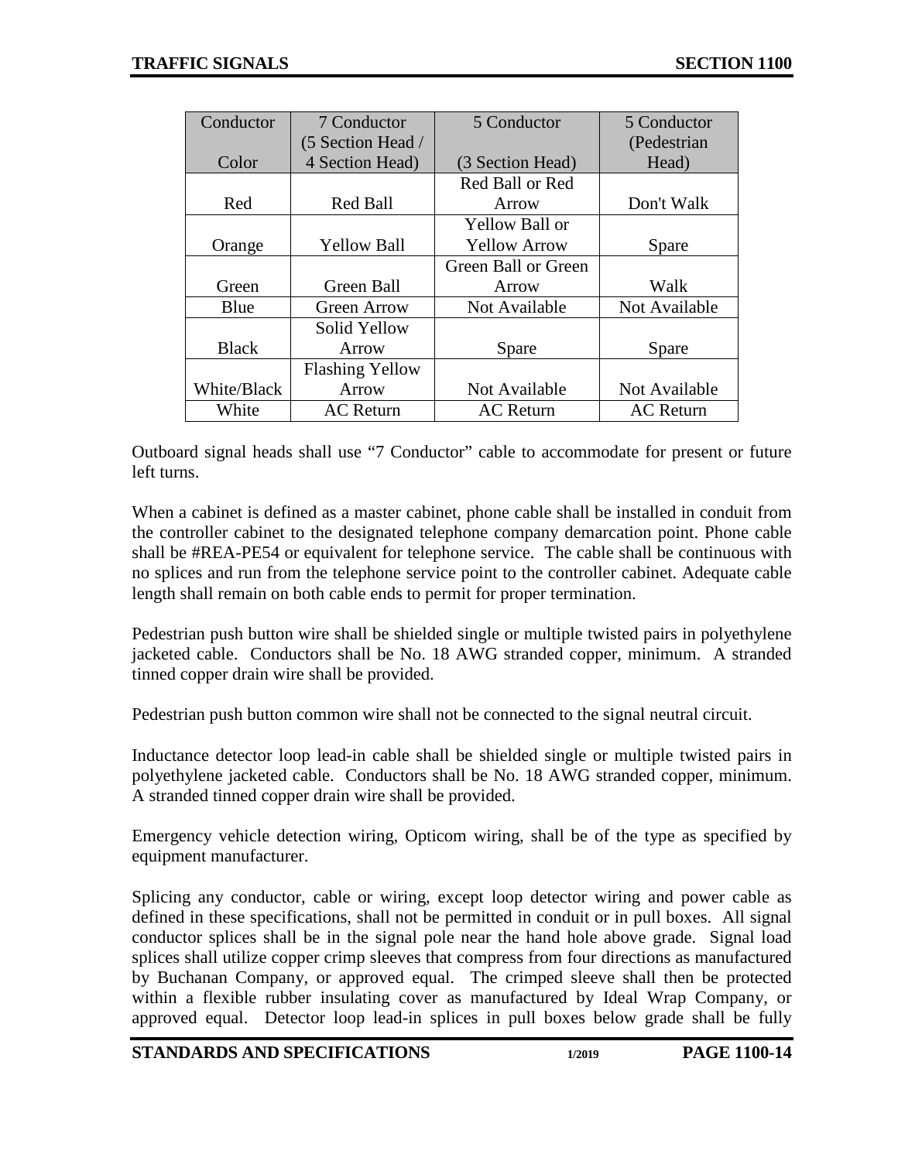| Conductor    | 7 Conductor            | 5 Conductor         | 5 Conductor      |
|--------------|------------------------|---------------------|------------------|
|              | (5 Section Head /      |                     | (Pedestrian      |
| Color        | 4 Section Head)        | (3 Section Head)    | Head)            |
|              |                        | Red Ball or Red     |                  |
| Red          | <b>Red Ball</b>        | Arrow               | Don't Walk       |
|              |                        | Yellow Ball or      |                  |
| Orange       | <b>Yellow Ball</b>     | <b>Yellow Arrow</b> | Spare            |
|              |                        | Green Ball or Green |                  |
| Green        | Green Ball             | Arrow               | Walk             |
| Blue         | <b>Green Arrow</b>     | Not Available       | Not Available    |
|              | Solid Yellow           |                     |                  |
| <b>Black</b> | Arrow                  | Spare               | Spare            |
|              | <b>Flashing Yellow</b> |                     |                  |
| White/Black  | Arrow                  | Not Available       | Not Available    |
| White        | <b>AC</b> Return       | <b>AC</b> Return    | <b>AC</b> Return |

Outboard signal heads shall use "7 Conductor" cable to accommodate for present or future left turns.

When a cabinet is defined as a master cabinet, phone cable shall be installed in conduit from the controller cabinet to the designated telephone company demarcation point. Phone cable shall be #REA-PE54 or equivalent for telephone service. The cable shall be continuous with no splices and run from the telephone service point to the controller cabinet. Adequate cable length shall remain on both cable ends to permit for proper termination.

Pedestrian push button wire shall be shielded single or multiple twisted pairs in polyethylene jacketed cable. Conductors shall be No. 18 AWG stranded copper, minimum. A stranded tinned copper drain wire shall be provided.

Pedestrian push button common wire shall not be connected to the signal neutral circuit.

Inductance detector loop lead-in cable shall be shielded single or multiple twisted pairs in polyethylene jacketed cable. Conductors shall be No. 18 AWG stranded copper, minimum. A stranded tinned copper drain wire shall be provided.

Emergency vehicle detection wiring, Opticom wiring, shall be of the type as specified by equipment manufacturer.

Splicing any conductor, cable or wiring, except loop detector wiring and power cable as defined in these specifications, shall not be permitted in conduit or in pull boxes. All signal conductor splices shall be in the signal pole near the hand hole above grade. Signal load splices shall utilize copper crimp sleeves that compress from four directions as manufactured by Buchanan Company, or approved equal. The crimped sleeve shall then be protected within a flexible rubber insulating cover as manufactured by Ideal Wrap Company, or approved equal. Detector loop lead-in splices in pull boxes below grade shall be fully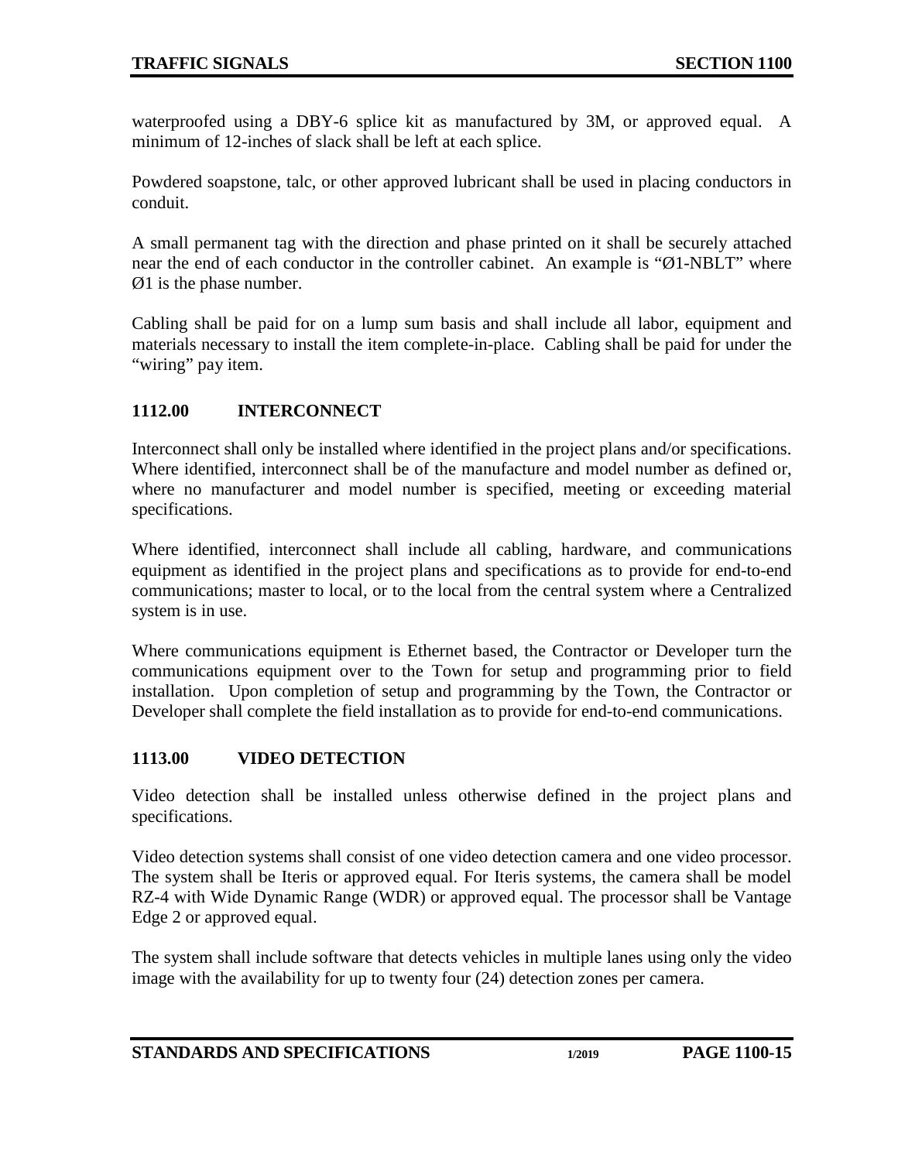waterproofed using a DBY-6 splice kit as manufactured by 3M, or approved equal. A minimum of 12-inches of slack shall be left at each splice.

Powdered soapstone, talc, or other approved lubricant shall be used in placing conductors in conduit.

A small permanent tag with the direction and phase printed on it shall be securely attached near the end of each conductor in the controller cabinet. An example is "Ø1-NBLT" where Ø1 is the phase number.

Cabling shall be paid for on a lump sum basis and shall include all labor, equipment and materials necessary to install the item complete-in-place. Cabling shall be paid for under the "wiring" pay item.

## <span id="page-14-0"></span>**1112.00 INTERCONNECT**

Interconnect shall only be installed where identified in the project plans and/or specifications. Where identified, interconnect shall be of the manufacture and model number as defined or, where no manufacturer and model number is specified, meeting or exceeding material specifications.

Where identified, interconnect shall include all cabling, hardware, and communications equipment as identified in the project plans and specifications as to provide for end-to-end communications; master to local, or to the local from the central system where a Centralized system is in use.

Where communications equipment is Ethernet based, the Contractor or Developer turn the communications equipment over to the Town for setup and programming prior to field installation. Upon completion of setup and programming by the Town, the Contractor or Developer shall complete the field installation as to provide for end-to-end communications.

### <span id="page-14-1"></span>**1113.00 VIDEO DETECTION**

Video detection shall be installed unless otherwise defined in the project plans and specifications.

Video detection systems shall consist of one video detection camera and one video processor. The system shall be Iteris or approved equal. For Iteris systems, the camera shall be model RZ-4 with Wide Dynamic Range (WDR) or approved equal. The processor shall be Vantage Edge 2 or approved equal.

The system shall include software that detects vehicles in multiple lanes using only the video image with the availability for up to twenty four (24) detection zones per camera.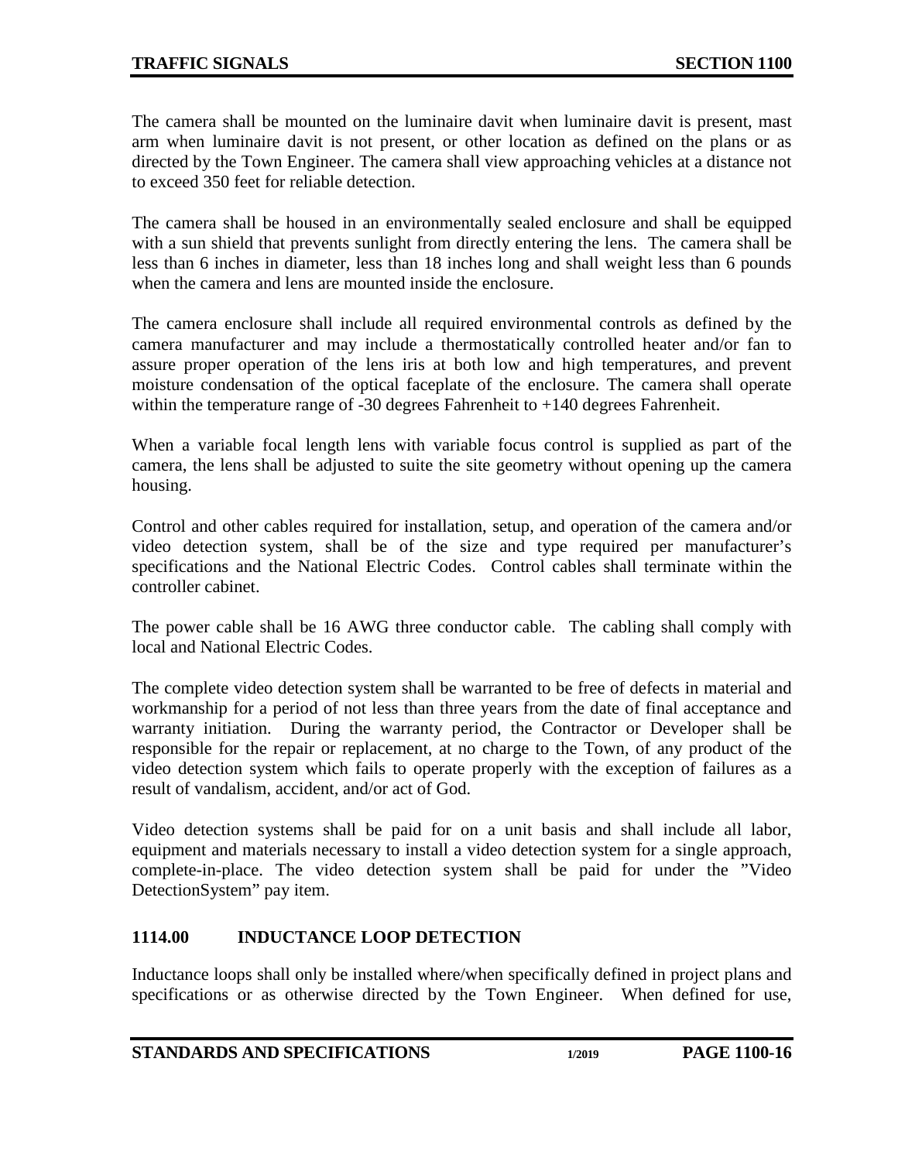The camera shall be mounted on the luminaire davit when luminaire davit is present, mast arm when luminaire davit is not present, or other location as defined on the plans or as directed by the Town Engineer. The camera shall view approaching vehicles at a distance not to exceed 350 feet for reliable detection.

The camera shall be housed in an environmentally sealed enclosure and shall be equipped with a sun shield that prevents sunlight from directly entering the lens. The camera shall be less than 6 inches in diameter, less than 18 inches long and shall weight less than 6 pounds when the camera and lens are mounted inside the enclosure.

The camera enclosure shall include all required environmental controls as defined by the camera manufacturer and may include a thermostatically controlled heater and/or fan to assure proper operation of the lens iris at both low and high temperatures, and prevent moisture condensation of the optical faceplate of the enclosure. The camera shall operate within the temperature range of -30 degrees Fahrenheit to +140 degrees Fahrenheit.

When a variable focal length lens with variable focus control is supplied as part of the camera, the lens shall be adjusted to suite the site geometry without opening up the camera housing.

Control and other cables required for installation, setup, and operation of the camera and/or video detection system, shall be of the size and type required per manufacturer's specifications and the National Electric Codes. Control cables shall terminate within the controller cabinet.

The power cable shall be 16 AWG three conductor cable. The cabling shall comply with local and National Electric Codes.

The complete video detection system shall be warranted to be free of defects in material and workmanship for a period of not less than three years from the date of final acceptance and warranty initiation. During the warranty period, the Contractor or Developer shall be responsible for the repair or replacement, at no charge to the Town, of any product of the video detection system which fails to operate properly with the exception of failures as a result of vandalism, accident, and/or act of God.

Video detection systems shall be paid for on a unit basis and shall include all labor, equipment and materials necessary to install a video detection system for a single approach, complete-in-place. The video detection system shall be paid for under the "Video DetectionSystem" pay item.

### <span id="page-15-0"></span>**1114.00 INDUCTANCE LOOP DETECTION**

Inductance loops shall only be installed where/when specifically defined in project plans and specifications or as otherwise directed by the Town Engineer. When defined for use,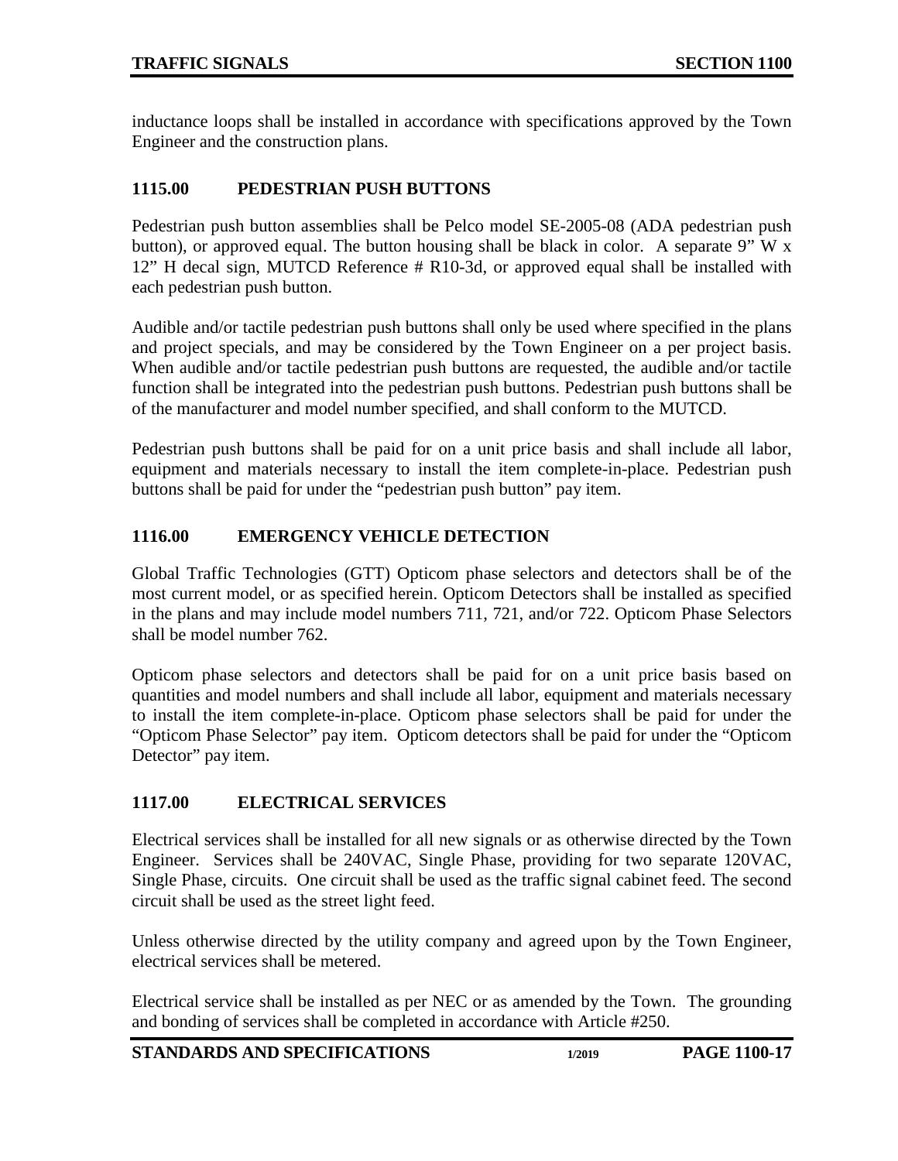inductance loops shall be installed in accordance with specifications approved by the Town Engineer and the construction plans.

## <span id="page-16-0"></span>**1115.00 PEDESTRIAN PUSH BUTTONS**

Pedestrian push button assemblies shall be Pelco model SE-2005-08 (ADA pedestrian push button), or approved equal. The button housing shall be black in color. A separate 9" W  $\bar{x}$ 12" H decal sign, MUTCD Reference # R10-3d, or approved equal shall be installed with each pedestrian push button.

Audible and/or tactile pedestrian push buttons shall only be used where specified in the plans and project specials, and may be considered by the Town Engineer on a per project basis. When audible and/or tactile pedestrian push buttons are requested, the audible and/or tactile function shall be integrated into the pedestrian push buttons. Pedestrian push buttons shall be of the manufacturer and model number specified, and shall conform to the MUTCD.

Pedestrian push buttons shall be paid for on a unit price basis and shall include all labor, equipment and materials necessary to install the item complete-in-place. Pedestrian push buttons shall be paid for under the "pedestrian push button" pay item.

## <span id="page-16-1"></span>**1116.00 EMERGENCY VEHICLE DETECTION**

Global Traffic Technologies (GTT) Opticom phase selectors and detectors shall be of the most current model, or as specified herein. Opticom Detectors shall be installed as specified in the plans and may include model numbers 711, 721, and/or 722. Opticom Phase Selectors shall be model number 762.

Opticom phase selectors and detectors shall be paid for on a unit price basis based on quantities and model numbers and shall include all labor, equipment and materials necessary to install the item complete-in-place. Opticom phase selectors shall be paid for under the "Opticom Phase Selector" pay item. Opticom detectors shall be paid for under the "Opticom Detector" pay item.

# <span id="page-16-2"></span>**1117.00 ELECTRICAL SERVICES**

Electrical services shall be installed for all new signals or as otherwise directed by the Town Engineer. Services shall be 240VAC, Single Phase, providing for two separate 120VAC, Single Phase, circuits. One circuit shall be used as the traffic signal cabinet feed. The second circuit shall be used as the street light feed.

Unless otherwise directed by the utility company and agreed upon by the Town Engineer, electrical services shall be metered.

Electrical service shall be installed as per NEC or as amended by the Town. The grounding and bonding of services shall be completed in accordance with Article #250.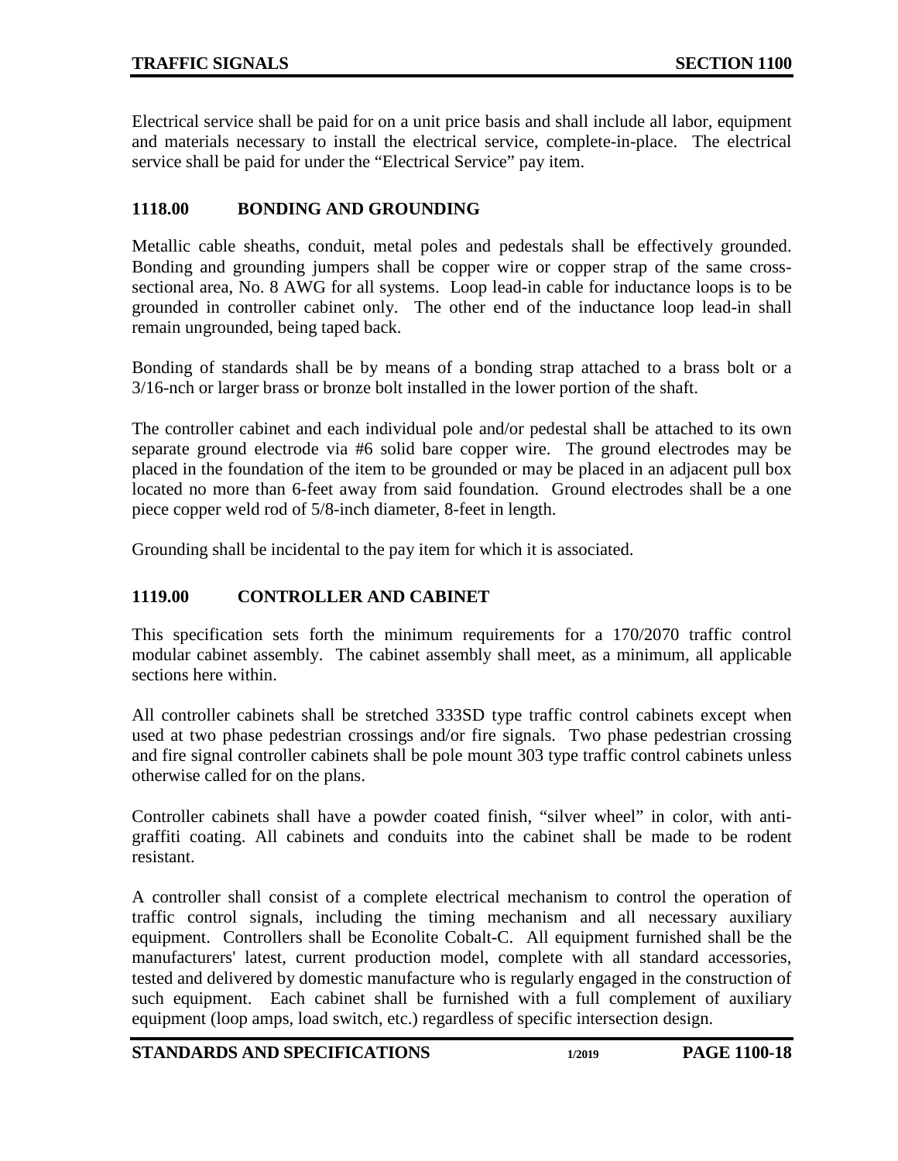Electrical service shall be paid for on a unit price basis and shall include all labor, equipment and materials necessary to install the electrical service, complete-in-place. The electrical service shall be paid for under the "Electrical Service" pay item.

## <span id="page-17-0"></span>**1118.00 BONDING AND GROUNDING**

Metallic cable sheaths, conduit, metal poles and pedestals shall be effectively grounded. Bonding and grounding jumpers shall be copper wire or copper strap of the same crosssectional area, No. 8 AWG for all systems. Loop lead-in cable for inductance loops is to be grounded in controller cabinet only. The other end of the inductance loop lead-in shall remain ungrounded, being taped back.

Bonding of standards shall be by means of a bonding strap attached to a brass bolt or a 3/16-nch or larger brass or bronze bolt installed in the lower portion of the shaft.

The controller cabinet and each individual pole and/or pedestal shall be attached to its own separate ground electrode via #6 solid bare copper wire. The ground electrodes may be placed in the foundation of the item to be grounded or may be placed in an adjacent pull box located no more than 6-feet away from said foundation. Ground electrodes shall be a one piece copper weld rod of 5/8-inch diameter, 8-feet in length.

<span id="page-17-1"></span>Grounding shall be incidental to the pay item for which it is associated.

# **1119.00 CONTROLLER AND CABINET**

This specification sets forth the minimum requirements for a 170/2070 traffic control modular cabinet assembly. The cabinet assembly shall meet, as a minimum, all applicable sections here within.

All controller cabinets shall be stretched 333SD type traffic control cabinets except when used at two phase pedestrian crossings and/or fire signals. Two phase pedestrian crossing and fire signal controller cabinets shall be pole mount 303 type traffic control cabinets unless otherwise called for on the plans.

Controller cabinets shall have a powder coated finish, "silver wheel" in color, with antigraffiti coating. All cabinets and conduits into the cabinet shall be made to be rodent resistant.

A controller shall consist of a complete electrical mechanism to control the operation of traffic control signals, including the timing mechanism and all necessary auxiliary equipment. Controllers shall be Econolite Cobalt-C. All equipment furnished shall be the manufacturers' latest, current production model, complete with all standard accessories, tested and delivered by domestic manufacture who is regularly engaged in the construction of such equipment. Each cabinet shall be furnished with a full complement of auxiliary equipment (loop amps, load switch, etc.) regardless of specific intersection design.

**STANDARDS AND SPECIFICATIONS** 1/2019 PAGE 1100-18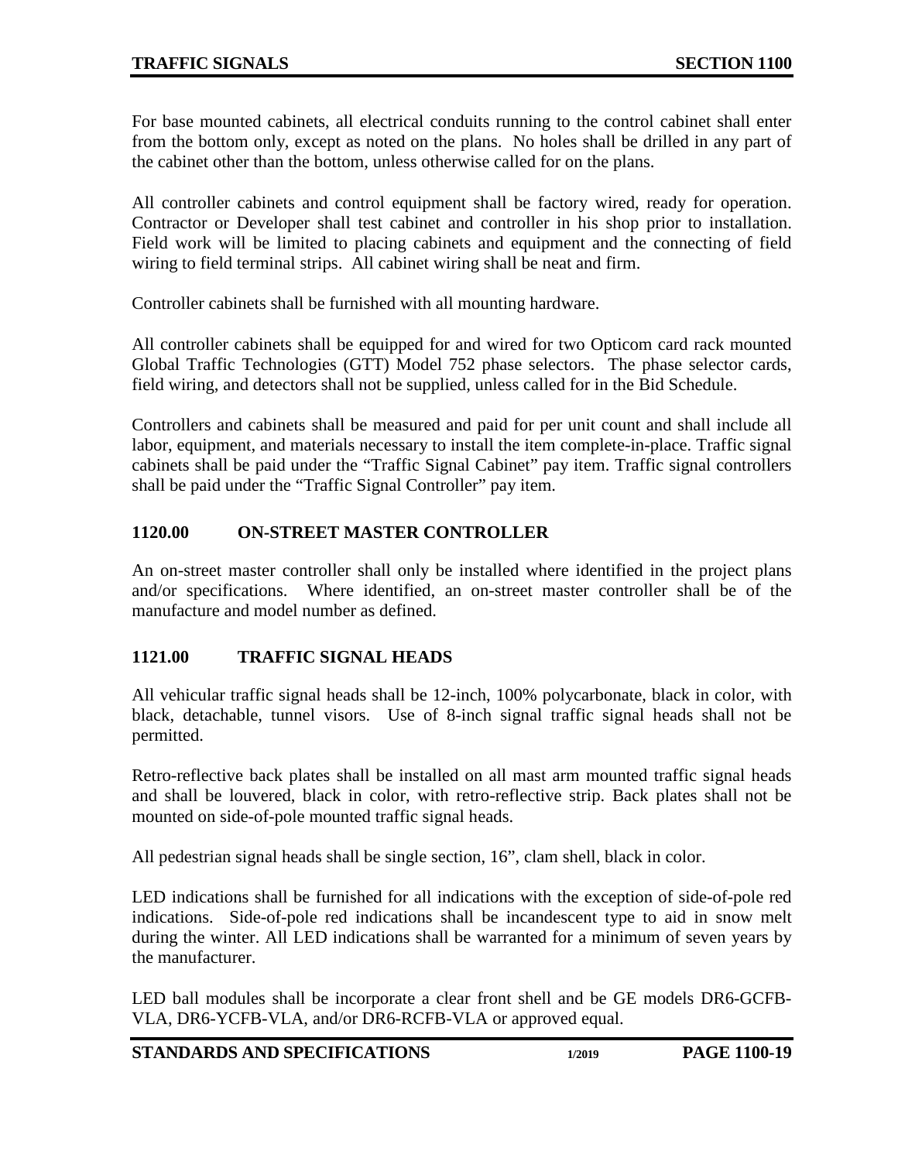For base mounted cabinets, all electrical conduits running to the control cabinet shall enter from the bottom only, except as noted on the plans. No holes shall be drilled in any part of the cabinet other than the bottom, unless otherwise called for on the plans.

All controller cabinets and control equipment shall be factory wired, ready for operation. Contractor or Developer shall test cabinet and controller in his shop prior to installation. Field work will be limited to placing cabinets and equipment and the connecting of field wiring to field terminal strips. All cabinet wiring shall be neat and firm.

Controller cabinets shall be furnished with all mounting hardware.

All controller cabinets shall be equipped for and wired for two Opticom card rack mounted Global Traffic Technologies (GTT) Model 752 phase selectors. The phase selector cards, field wiring, and detectors shall not be supplied, unless called for in the Bid Schedule.

Controllers and cabinets shall be measured and paid for per unit count and shall include all labor, equipment, and materials necessary to install the item complete-in-place. Traffic signal cabinets shall be paid under the "Traffic Signal Cabinet" pay item. Traffic signal controllers shall be paid under the "Traffic Signal Controller" pay item.

# <span id="page-18-0"></span>**1120.00 ON-STREET MASTER CONTROLLER**

An on-street master controller shall only be installed where identified in the project plans and/or specifications. Where identified, an on-street master controller shall be of the manufacture and model number as defined.

### <span id="page-18-1"></span>**1121.00 TRAFFIC SIGNAL HEADS**

All vehicular traffic signal heads shall be 12-inch, 100% polycarbonate, black in color, with black, detachable, tunnel visors. Use of 8-inch signal traffic signal heads shall not be permitted.

Retro-reflective back plates shall be installed on all mast arm mounted traffic signal heads and shall be louvered, black in color, with retro-reflective strip. Back plates shall not be mounted on side-of-pole mounted traffic signal heads.

All pedestrian signal heads shall be single section, 16", clam shell, black in color.

LED indications shall be furnished for all indications with the exception of side-of-pole red indications. Side-of-pole red indications shall be incandescent type to aid in snow melt during the winter. All LED indications shall be warranted for a minimum of seven years by the manufacturer.

LED ball modules shall be incorporate a clear front shell and be GE models DR6-GCFB-VLA, DR6-YCFB-VLA, and/or DR6-RCFB-VLA or approved equal.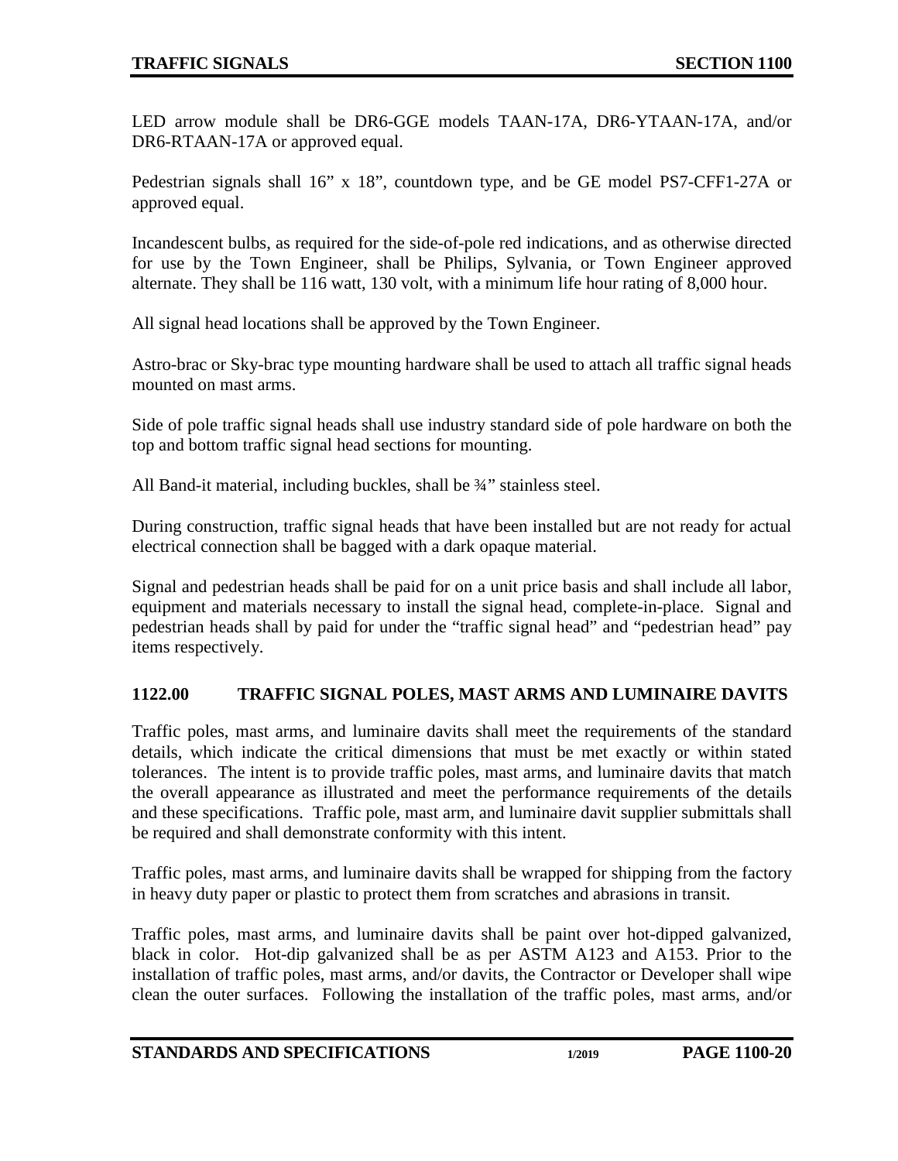LED arrow module shall be DR6-GGE models TAAN-17A, DR6-YTAAN-17A, and/or DR6-RTAAN-17A or approved equal.

Pedestrian signals shall 16" x 18", countdown type, and be GE model PS7-CFF1-27A or approved equal.

Incandescent bulbs, as required for the side-of-pole red indications, and as otherwise directed for use by the Town Engineer, shall be Philips, Sylvania, or Town Engineer approved alternate. They shall be 116 watt, 130 volt, with a minimum life hour rating of 8,000 hour.

All signal head locations shall be approved by the Town Engineer.

Astro-brac or Sky-brac type mounting hardware shall be used to attach all traffic signal heads mounted on mast arms.

Side of pole traffic signal heads shall use industry standard side of pole hardware on both the top and bottom traffic signal head sections for mounting.

All Band-it material, including buckles, shall be 3/4" stainless steel.

During construction, traffic signal heads that have been installed but are not ready for actual electrical connection shall be bagged with a dark opaque material.

Signal and pedestrian heads shall be paid for on a unit price basis and shall include all labor, equipment and materials necessary to install the signal head, complete-in-place. Signal and pedestrian heads shall by paid for under the "traffic signal head" and "pedestrian head" pay items respectively.

# <span id="page-19-0"></span>**1122.00 TRAFFIC SIGNAL POLES, MAST ARMS AND LUMINAIRE DAVITS**

Traffic poles, mast arms, and luminaire davits shall meet the requirements of the standard details, which indicate the critical dimensions that must be met exactly or within stated tolerances. The intent is to provide traffic poles, mast arms, and luminaire davits that match the overall appearance as illustrated and meet the performance requirements of the details and these specifications. Traffic pole, mast arm, and luminaire davit supplier submittals shall be required and shall demonstrate conformity with this intent.

Traffic poles, mast arms, and luminaire davits shall be wrapped for shipping from the factory in heavy duty paper or plastic to protect them from scratches and abrasions in transit.

Traffic poles, mast arms, and luminaire davits shall be paint over hot-dipped galvanized, black in color. Hot-dip galvanized shall be as per ASTM A123 and A153. Prior to the installation of traffic poles, mast arms, and/or davits, the Contractor or Developer shall wipe clean the outer surfaces. Following the installation of the traffic poles, mast arms, and/or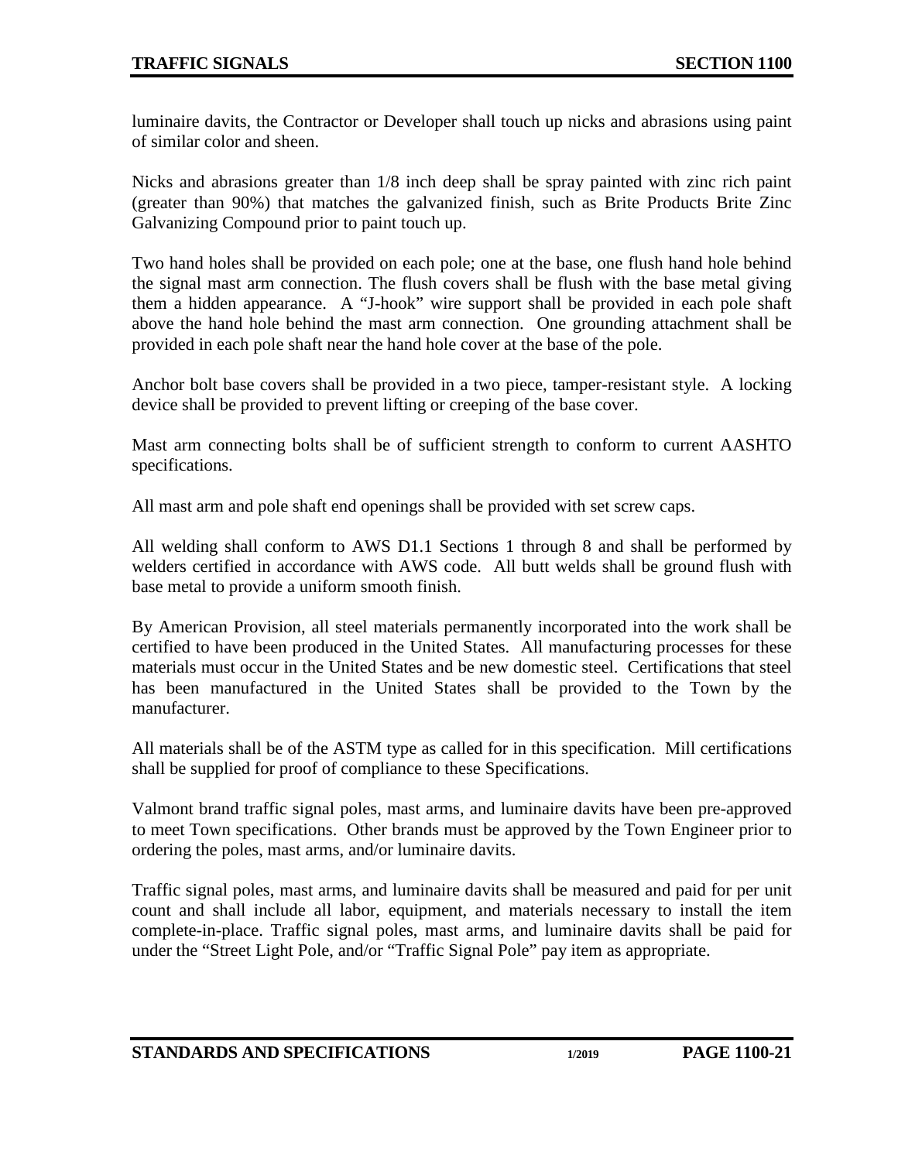luminaire davits, the Contractor or Developer shall touch up nicks and abrasions using paint of similar color and sheen.

Nicks and abrasions greater than 1/8 inch deep shall be spray painted with zinc rich paint (greater than 90%) that matches the galvanized finish, such as Brite Products Brite Zinc Galvanizing Compound prior to paint touch up.

Two hand holes shall be provided on each pole; one at the base, one flush hand hole behind the signal mast arm connection. The flush covers shall be flush with the base metal giving them a hidden appearance. A "J-hook" wire support shall be provided in each pole shaft above the hand hole behind the mast arm connection. One grounding attachment shall be provided in each pole shaft near the hand hole cover at the base of the pole.

Anchor bolt base covers shall be provided in a two piece, tamper-resistant style. A locking device shall be provided to prevent lifting or creeping of the base cover.

Mast arm connecting bolts shall be of sufficient strength to conform to current AASHTO specifications.

All mast arm and pole shaft end openings shall be provided with set screw caps.

All welding shall conform to AWS D1.1 Sections 1 through 8 and shall be performed by welders certified in accordance with AWS code. All butt welds shall be ground flush with base metal to provide a uniform smooth finish.

By American Provision, all steel materials permanently incorporated into the work shall be certified to have been produced in the United States. All manufacturing processes for these materials must occur in the United States and be new domestic steel. Certifications that steel has been manufactured in the United States shall be provided to the Town by the manufacturer.

All materials shall be of the ASTM type as called for in this specification. Mill certifications shall be supplied for proof of compliance to these Specifications.

Valmont brand traffic signal poles, mast arms, and luminaire davits have been pre-approved to meet Town specifications. Other brands must be approved by the Town Engineer prior to ordering the poles, mast arms, and/or luminaire davits.

Traffic signal poles, mast arms, and luminaire davits shall be measured and paid for per unit count and shall include all labor, equipment, and materials necessary to install the item complete-in-place. Traffic signal poles, mast arms, and luminaire davits shall be paid for under the "Street Light Pole, and/or "Traffic Signal Pole" pay item as appropriate.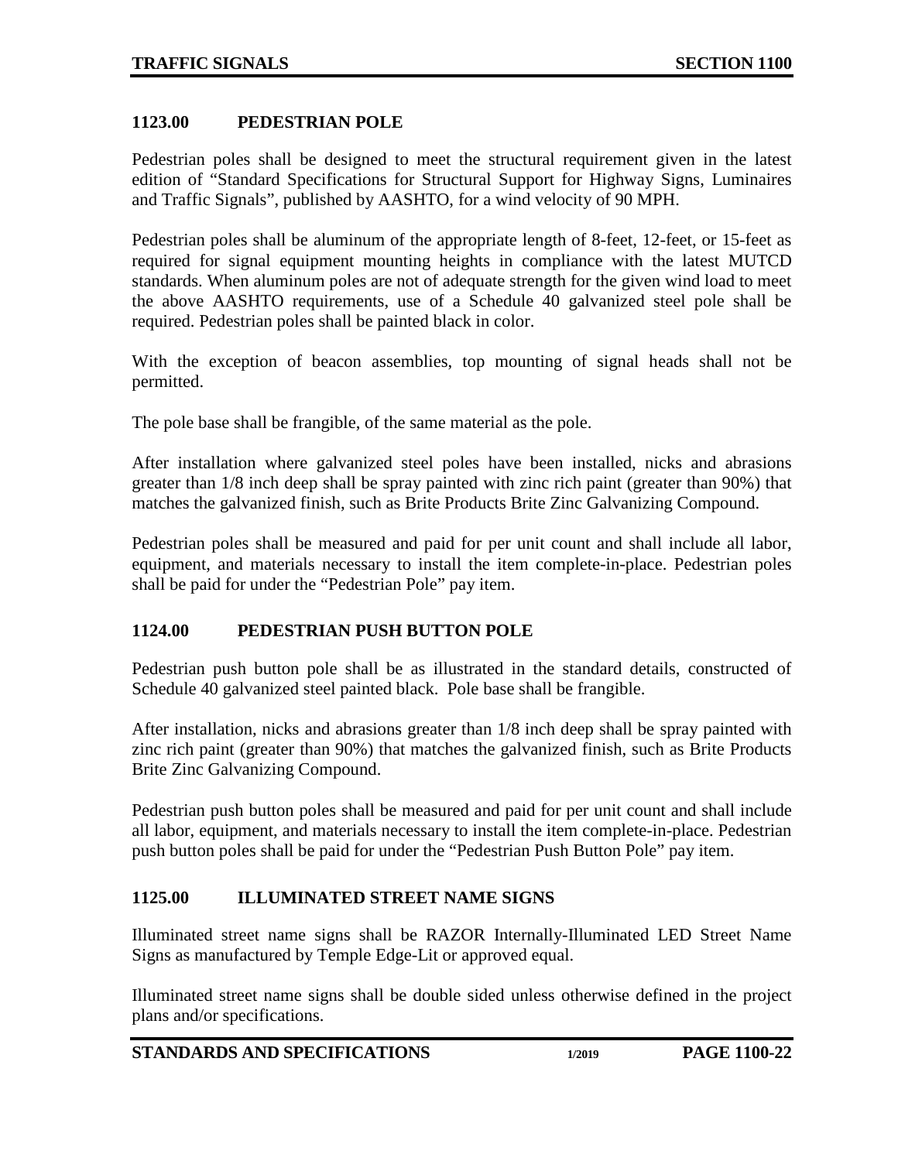#### <span id="page-21-0"></span>**1123.00 PEDESTRIAN POLE**

Pedestrian poles shall be designed to meet the structural requirement given in the latest edition of "Standard Specifications for Structural Support for Highway Signs, Luminaires and Traffic Signals", published by AASHTO, for a wind velocity of 90 MPH.

Pedestrian poles shall be aluminum of the appropriate length of 8-feet, 12-feet, or 15-feet as required for signal equipment mounting heights in compliance with the latest MUTCD standards. When aluminum poles are not of adequate strength for the given wind load to meet the above AASHTO requirements, use of a Schedule 40 galvanized steel pole shall be required. Pedestrian poles shall be painted black in color.

With the exception of beacon assemblies, top mounting of signal heads shall not be permitted.

The pole base shall be frangible, of the same material as the pole.

After installation where galvanized steel poles have been installed, nicks and abrasions greater than 1/8 inch deep shall be spray painted with zinc rich paint (greater than 90%) that matches the galvanized finish, such as Brite Products Brite Zinc Galvanizing Compound.

Pedestrian poles shall be measured and paid for per unit count and shall include all labor, equipment, and materials necessary to install the item complete-in-place. Pedestrian poles shall be paid for under the "Pedestrian Pole" pay item.

### <span id="page-21-1"></span>**1124.00 PEDESTRIAN PUSH BUTTON POLE**

Pedestrian push button pole shall be as illustrated in the standard details, constructed of Schedule 40 galvanized steel painted black. Pole base shall be frangible.

After installation, nicks and abrasions greater than 1/8 inch deep shall be spray painted with zinc rich paint (greater than 90%) that matches the galvanized finish, such as Brite Products Brite Zinc Galvanizing Compound.

Pedestrian push button poles shall be measured and paid for per unit count and shall include all labor, equipment, and materials necessary to install the item complete-in-place. Pedestrian push button poles shall be paid for under the "Pedestrian Push Button Pole" pay item.

### <span id="page-21-2"></span>**1125.00 ILLUMINATED STREET NAME SIGNS**

Illuminated street name signs shall be RAZOR Internally-Illuminated LED Street Name Signs as manufactured by Temple Edge-Lit or approved equal.

Illuminated street name signs shall be double sided unless otherwise defined in the project plans and/or specifications.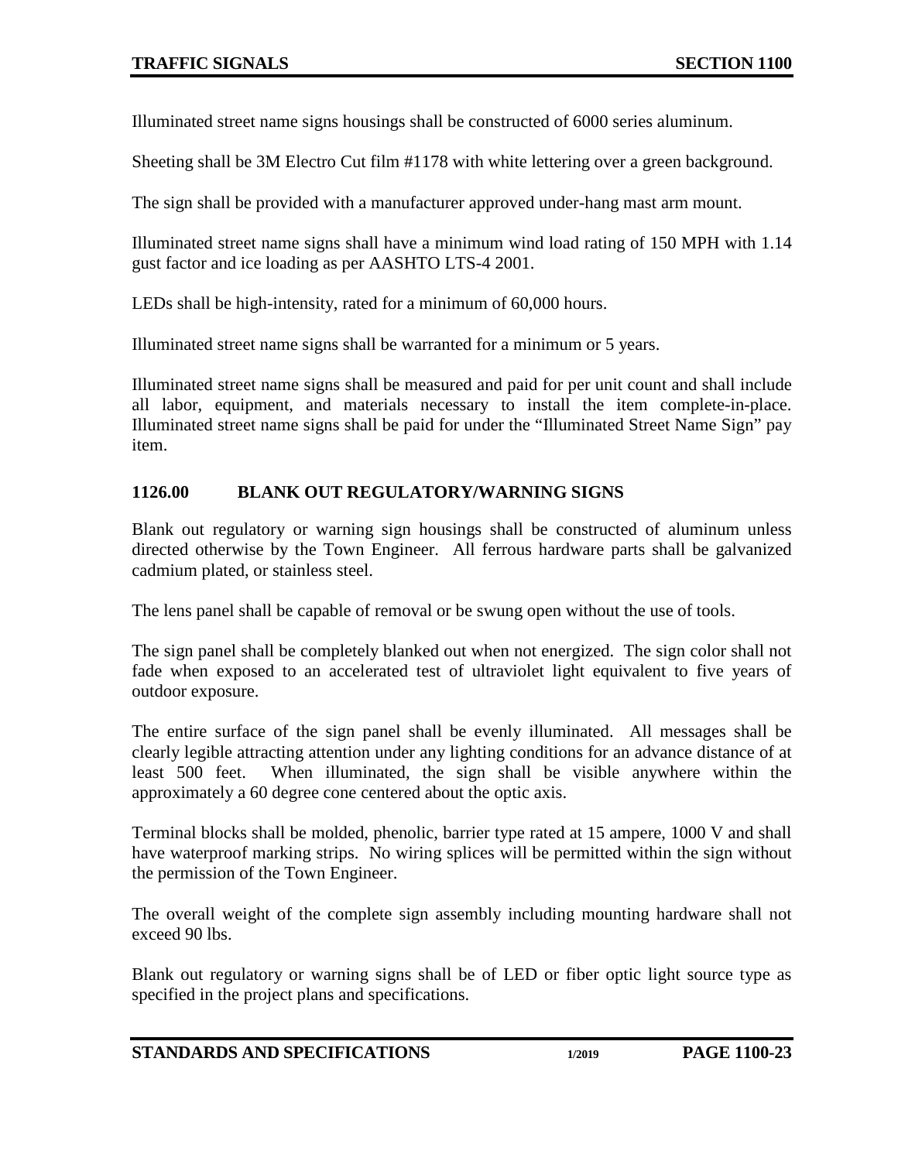Illuminated street name signs housings shall be constructed of 6000 series aluminum.

Sheeting shall be 3M Electro Cut film #1178 with white lettering over a green background.

The sign shall be provided with a manufacturer approved under-hang mast arm mount.

Illuminated street name signs shall have a minimum wind load rating of 150 MPH with 1.14 gust factor and ice loading as per AASHTO LTS-4 2001.

LEDs shall be high-intensity, rated for a minimum of 60,000 hours.

Illuminated street name signs shall be warranted for a minimum or 5 years.

Illuminated street name signs shall be measured and paid for per unit count and shall include all labor, equipment, and materials necessary to install the item complete-in-place. Illuminated street name signs shall be paid for under the "Illuminated Street Name Sign" pay item.

### <span id="page-22-0"></span>**1126.00 BLANK OUT REGULATORY/WARNING SIGNS**

Blank out regulatory or warning sign housings shall be constructed of aluminum unless directed otherwise by the Town Engineer. All ferrous hardware parts shall be galvanized cadmium plated, or stainless steel.

The lens panel shall be capable of removal or be swung open without the use of tools.

The sign panel shall be completely blanked out when not energized. The sign color shall not fade when exposed to an accelerated test of ultraviolet light equivalent to five years of outdoor exposure.

The entire surface of the sign panel shall be evenly illuminated. All messages shall be clearly legible attracting attention under any lighting conditions for an advance distance of at least 500 feet. When illuminated, the sign shall be visible anywhere within the approximately a 60 degree cone centered about the optic axis.

Terminal blocks shall be molded, phenolic, barrier type rated at 15 ampere, 1000 V and shall have waterproof marking strips. No wiring splices will be permitted within the sign without the permission of the Town Engineer.

The overall weight of the complete sign assembly including mounting hardware shall not exceed 90 lbs.

Blank out regulatory or warning signs shall be of LED or fiber optic light source type as specified in the project plans and specifications.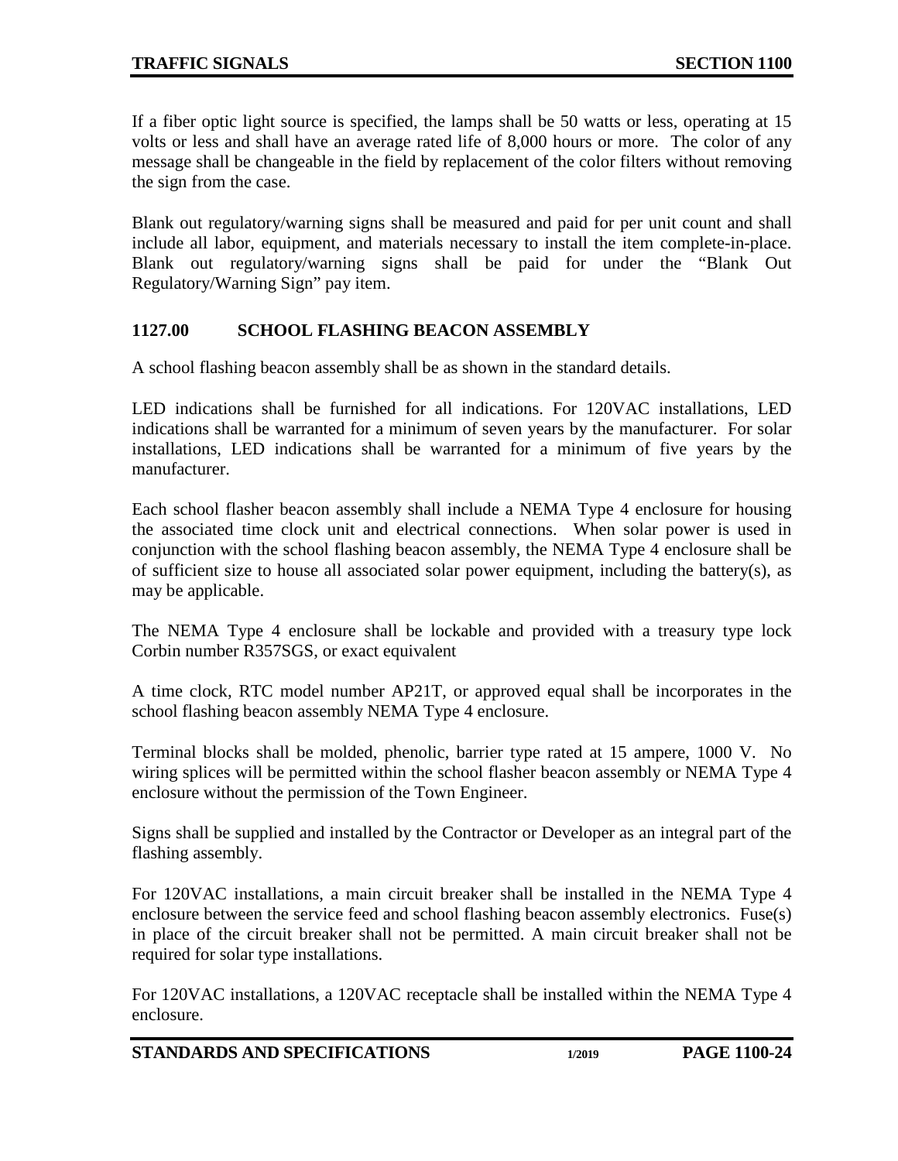If a fiber optic light source is specified, the lamps shall be 50 watts or less, operating at 15 volts or less and shall have an average rated life of 8,000 hours or more. The color of any message shall be changeable in the field by replacement of the color filters without removing the sign from the case.

Blank out regulatory/warning signs shall be measured and paid for per unit count and shall include all labor, equipment, and materials necessary to install the item complete-in-place. Blank out regulatory/warning signs shall be paid for under the "Blank Out Regulatory/Warning Sign" pay item.

### <span id="page-23-0"></span>**1127.00 SCHOOL FLASHING BEACON ASSEMBLY**

A school flashing beacon assembly shall be as shown in the standard details.

LED indications shall be furnished for all indications. For 120VAC installations, LED indications shall be warranted for a minimum of seven years by the manufacturer. For solar installations, LED indications shall be warranted for a minimum of five years by the manufacturer.

Each school flasher beacon assembly shall include a NEMA Type 4 enclosure for housing the associated time clock unit and electrical connections. When solar power is used in conjunction with the school flashing beacon assembly, the NEMA Type 4 enclosure shall be of sufficient size to house all associated solar power equipment, including the battery(s), as may be applicable.

The NEMA Type 4 enclosure shall be lockable and provided with a treasury type lock Corbin number R357SGS, or exact equivalent

A time clock, RTC model number AP21T, or approved equal shall be incorporates in the school flashing beacon assembly NEMA Type 4 enclosure.

Terminal blocks shall be molded, phenolic, barrier type rated at 15 ampere, 1000 V. No wiring splices will be permitted within the school flasher beacon assembly or NEMA Type 4 enclosure without the permission of the Town Engineer.

Signs shall be supplied and installed by the Contractor or Developer as an integral part of the flashing assembly.

For 120VAC installations, a main circuit breaker shall be installed in the NEMA Type 4 enclosure between the service feed and school flashing beacon assembly electronics. Fuse(s) in place of the circuit breaker shall not be permitted. A main circuit breaker shall not be required for solar type installations.

For 120VAC installations, a 120VAC receptacle shall be installed within the NEMA Type 4 enclosure.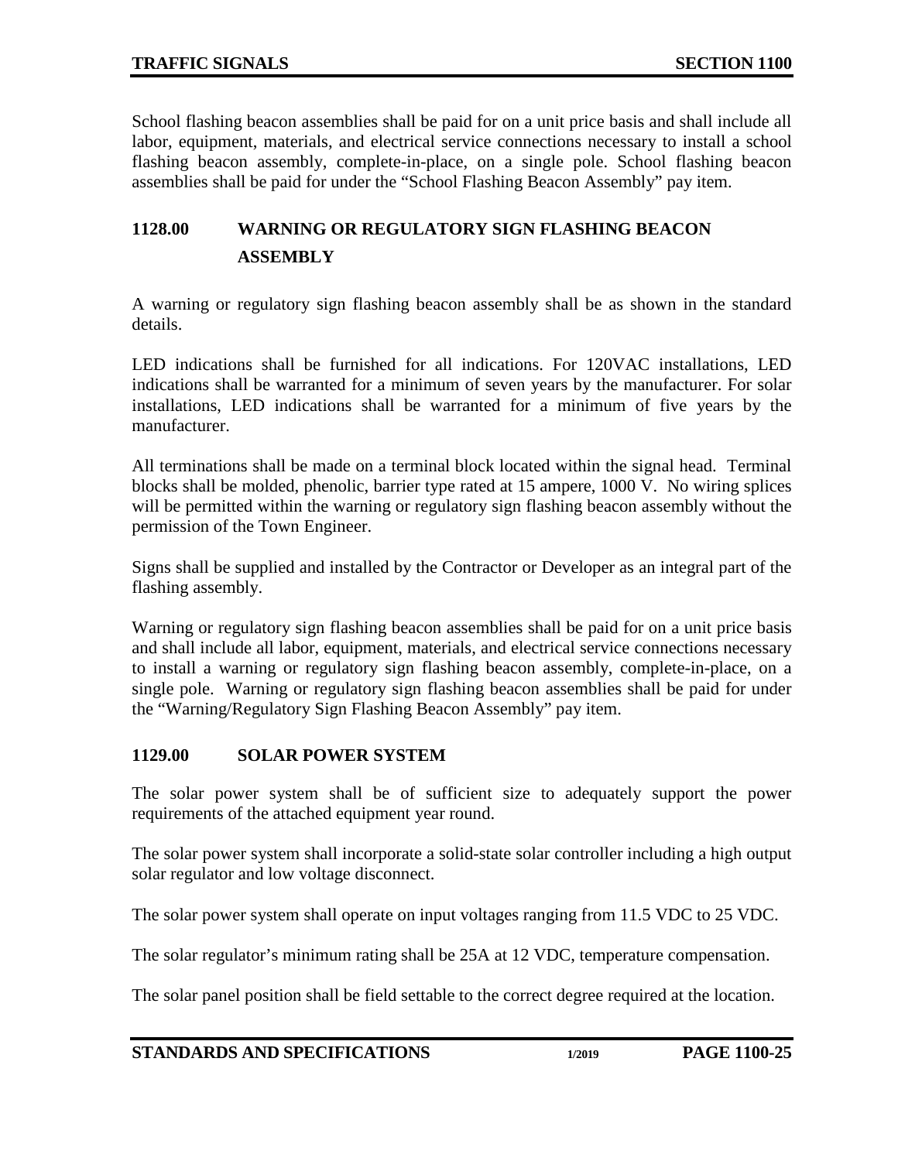School flashing beacon assemblies shall be paid for on a unit price basis and shall include all labor, equipment, materials, and electrical service connections necessary to install a school flashing beacon assembly, complete-in-place, on a single pole. School flashing beacon assemblies shall be paid for under the "School Flashing Beacon Assembly" pay item.

# <span id="page-24-1"></span><span id="page-24-0"></span>**1128.00 WARNING OR REGULATORY SIGN FLASHING BEACON ASSEMBLY**

A warning or regulatory sign flashing beacon assembly shall be as shown in the standard details.

LED indications shall be furnished for all indications. For 120VAC installations, LED indications shall be warranted for a minimum of seven years by the manufacturer. For solar installations, LED indications shall be warranted for a minimum of five years by the manufacturer.

All terminations shall be made on a terminal block located within the signal head. Terminal blocks shall be molded, phenolic, barrier type rated at 15 ampere, 1000 V. No wiring splices will be permitted within the warning or regulatory sign flashing beacon assembly without the permission of the Town Engineer.

Signs shall be supplied and installed by the Contractor or Developer as an integral part of the flashing assembly.

Warning or regulatory sign flashing beacon assemblies shall be paid for on a unit price basis and shall include all labor, equipment, materials, and electrical service connections necessary to install a warning or regulatory sign flashing beacon assembly, complete-in-place, on a single pole. Warning or regulatory sign flashing beacon assemblies shall be paid for under the "Warning/Regulatory Sign Flashing Beacon Assembly" pay item.

### <span id="page-24-2"></span>**1129.00 SOLAR POWER SYSTEM**

The solar power system shall be of sufficient size to adequately support the power requirements of the attached equipment year round.

The solar power system shall incorporate a solid-state solar controller including a high output solar regulator and low voltage disconnect.

The solar power system shall operate on input voltages ranging from 11.5 VDC to 25 VDC.

The solar regulator's minimum rating shall be 25A at 12 VDC, temperature compensation.

The solar panel position shall be field settable to the correct degree required at the location.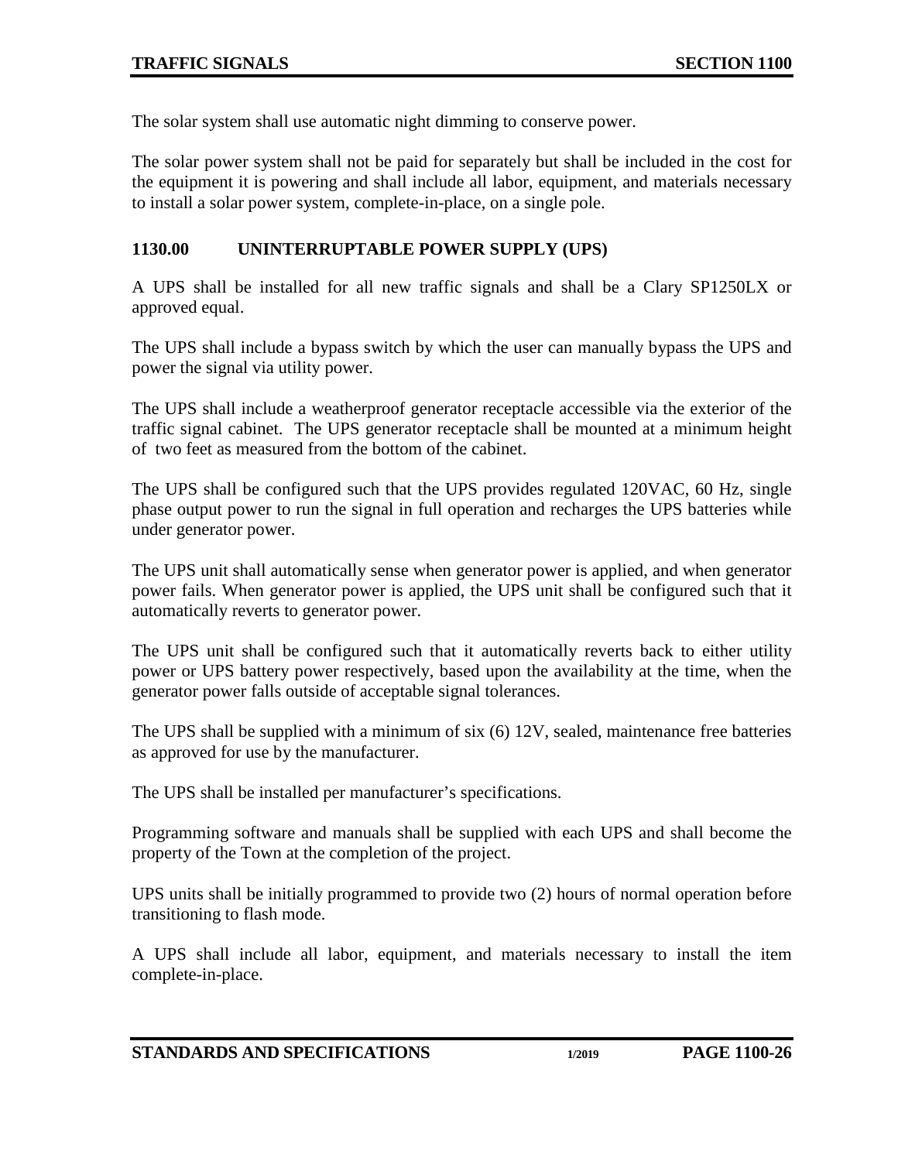The solar system shall use automatic night dimming to conserve power.

The solar power system shall not be paid for separately but shall be included in the cost for the equipment it is powering and shall include all labor, equipment, and materials necessary to install a solar power system, complete-in-place, on a single pole.

### <span id="page-25-0"></span>**1130.00 UNINTERRUPTABLE POWER SUPPLY (UPS)**

A UPS shall be installed for all new traffic signals and shall be a Clary SP1250LX or approved equal.

The UPS shall include a bypass switch by which the user can manually bypass the UPS and power the signal via utility power.

The UPS shall include a weatherproof generator receptacle accessible via the exterior of the traffic signal cabinet. The UPS generator receptacle shall be mounted at a minimum height of two feet as measured from the bottom of the cabinet.

The UPS shall be configured such that the UPS provides regulated 120VAC, 60 Hz, single phase output power to run the signal in full operation and recharges the UPS batteries while under generator power.

The UPS unit shall automatically sense when generator power is applied, and when generator power fails. When generator power is applied, the UPS unit shall be configured such that it automatically reverts to generator power.

The UPS unit shall be configured such that it automatically reverts back to either utility power or UPS battery power respectively, based upon the availability at the time, when the generator power falls outside of acceptable signal tolerances.

The UPS shall be supplied with a minimum of six (6) 12V, sealed, maintenance free batteries as approved for use by the manufacturer.

The UPS shall be installed per manufacturer's specifications.

Programming software and manuals shall be supplied with each UPS and shall become the property of the Town at the completion of the project.

UPS units shall be initially programmed to provide two (2) hours of normal operation before transitioning to flash mode.

A UPS shall include all labor, equipment, and materials necessary to install the item complete-in-place.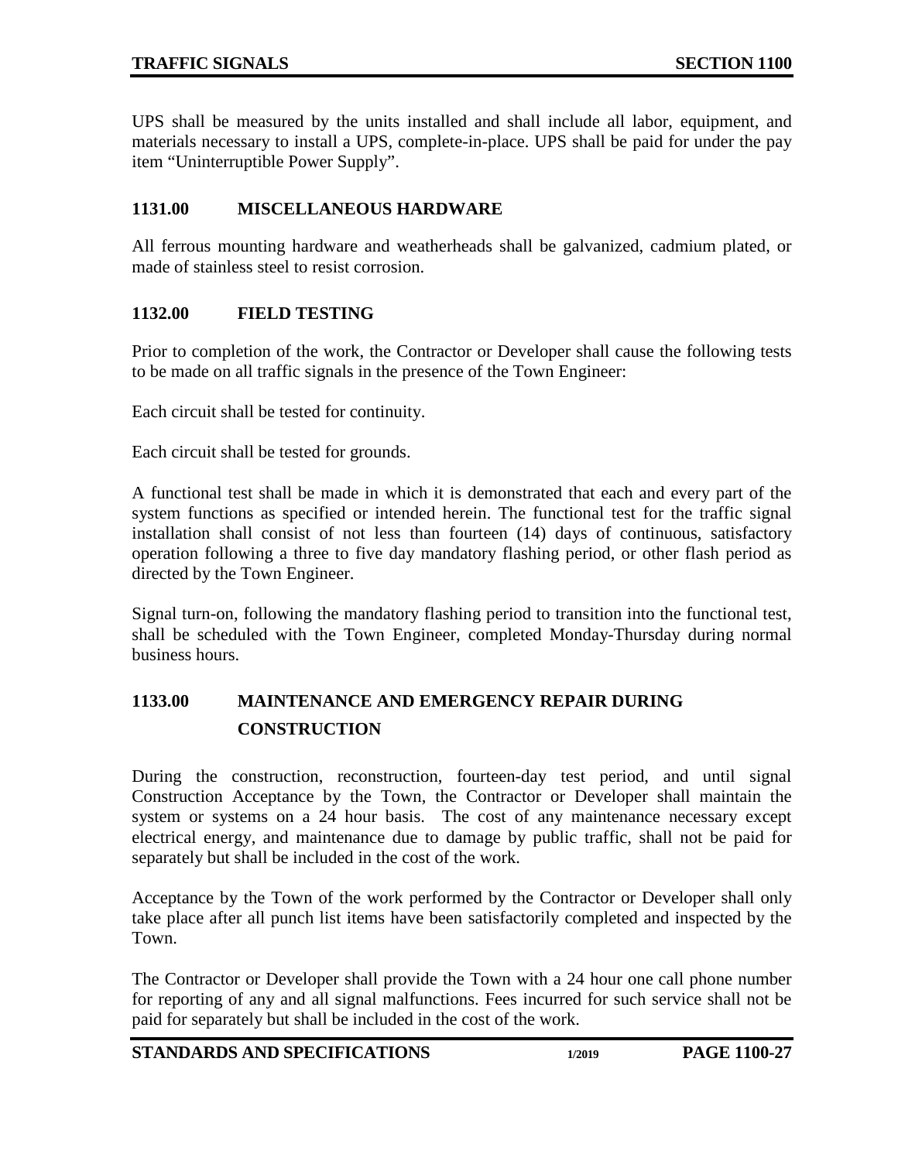UPS shall be measured by the units installed and shall include all labor, equipment, and materials necessary to install a UPS, complete-in-place. UPS shall be paid for under the pay item "Uninterruptible Power Supply".

## <span id="page-26-0"></span>**1131.00 MISCELLANEOUS HARDWARE**

All ferrous mounting hardware and weatherheads shall be galvanized, cadmium plated, or made of stainless steel to resist corrosion.

## <span id="page-26-1"></span>**1132.00 FIELD TESTING**

Prior to completion of the work, the Contractor or Developer shall cause the following tests to be made on all traffic signals in the presence of the Town Engineer:

Each circuit shall be tested for continuity.

Each circuit shall be tested for grounds.

A functional test shall be made in which it is demonstrated that each and every part of the system functions as specified or intended herein. The functional test for the traffic signal installation shall consist of not less than fourteen (14) days of continuous, satisfactory operation following a three to five day mandatory flashing period, or other flash period as directed by the Town Engineer.

Signal turn-on, following the mandatory flashing period to transition into the functional test, shall be scheduled with the Town Engineer, completed Monday-Thursday during normal business hours.

# <span id="page-26-3"></span><span id="page-26-2"></span>**1133.00 MAINTENANCE AND EMERGENCY REPAIR DURING CONSTRUCTION**

During the construction, reconstruction, fourteen-day test period, and until signal Construction Acceptance by the Town, the Contractor or Developer shall maintain the system or systems on a 24 hour basis. The cost of any maintenance necessary except electrical energy, and maintenance due to damage by public traffic, shall not be paid for separately but shall be included in the cost of the work.

Acceptance by the Town of the work performed by the Contractor or Developer shall only take place after all punch list items have been satisfactorily completed and inspected by the Town.

The Contractor or Developer shall provide the Town with a 24 hour one call phone number for reporting of any and all signal malfunctions. Fees incurred for such service shall not be paid for separately but shall be included in the cost of the work.

**STANDARDS AND SPECIFICATIONS 1/2019 PAGE 1100-27**